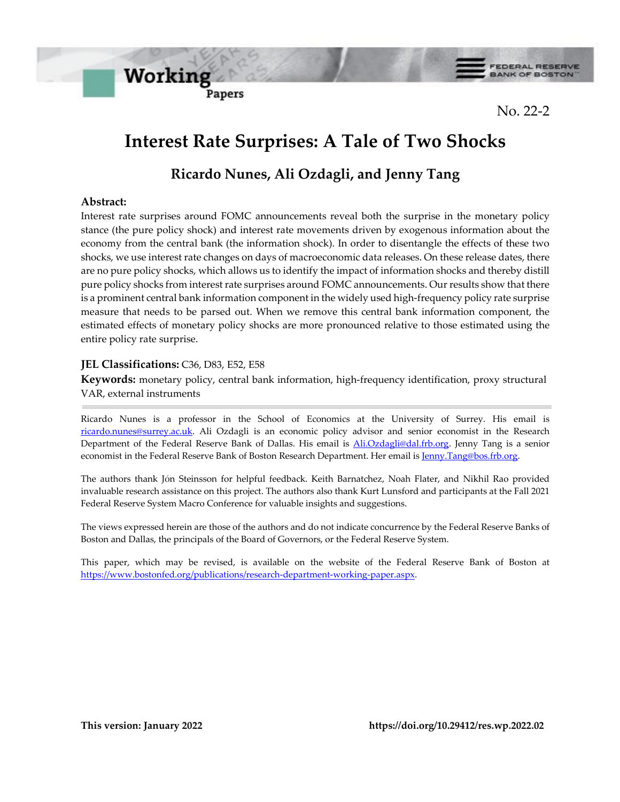



FEDERAL RESERVE

No. 22-2

# **Interest Rate Surprises: A Tale of Two Shocks**

## **Ricardo Nunes, Ali Ozdagli, and Jenny Tang**

### **Abstract:**

Interest rate surprises around FOMC announcements reveal both the surprise in the monetary policy stance (the pure policy shock) and interest rate movements driven by exogenous information about the economy from the central bank (the information shock). In order to disentangle the effects of these two shocks, we use interest rate changes on days of macroeconomic data releases. On these release dates, there are no pure policy shocks, which allows us to identify the impact of information shocks and thereby distill pure policy shocks from interest rate surprises around FOMC announcements. Our results show that there is a prominent central bank information component in the widely used high-frequency policy rate surprise measure that needs to be parsed out. When we remove this central bank information component, the estimated effects of monetary policy shocks are more pronounced relative to those estimated using the entire policy rate surprise.

### **JEL Classifications:** C36, D83, E52, E58

**Keywords:** monetary policy, central bank information, high-frequency identification, proxy structural VAR, external instruments

Ricardo Nunes is a professor in the School of Economics at the University of Surrey. His email is [ricardo.nunes@surrey.ac.uk.](mailto:ricardo.nunes@surrey.ac.uk) Ali Ozdagli is an economic policy advisor and senior economist in the Research Department of the Federal Reserve Bank of Dallas. His email is [Ali.Ozdagli@dal.frb.org.](mailto:Ali.Ozdagli@dal.frb.org) Jenny Tang is a senior economist in the Federal Reserve Bank of Boston Research Department. Her email i[s Jenny.Tang@bos.frb.org.](mailto:Jenny.Tang@bos.frb.org)

The authors thank Jόn Steinsson for helpful feedback. Keith Barnatchez, Noah Flater, and Nikhil Rao provided invaluable research assistance on this project. The authors also thank Kurt Lunsford and participants at the Fall 2021 Federal Reserve System Macro Conference for valuable insights and suggestions.

The views expressed herein are those of the authors and do not indicate concurrence by the Federal Reserve Banks of Boston and Dallas, the principals of the Board of Governors, or the Federal Reserve System.

This paper, which may be revised, is available on the website of the Federal Reserve Bank of Boston at [https://www.bostonfed.org/publications/research-department-working-paper.aspx.](https://www.bostonfed.org/publications/research-department-working-paper.aspx)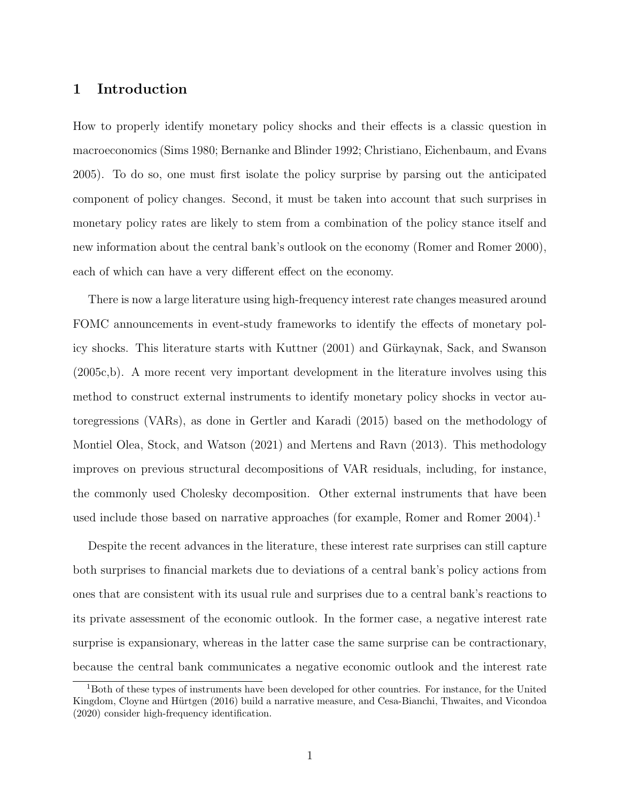## 1 Introduction

How to properly identify monetary policy shocks and their effects is a classic question in macroeconomics [\(Sims](#page-32-0) [1980;](#page-32-0) [Bernanke and Blinder](#page-26-0) [1992;](#page-26-0) [Christiano, Eichenbaum, and Evans](#page-27-0) [2005\)](#page-27-0). To do so, one must first isolate the policy surprise by parsing out the anticipated component of policy changes. Second, it must be taken into account that such surprises in monetary policy rates are likely to stem from a combination of the policy stance itself and new information about the central bank's outlook on the economy [\(Romer and Romer](#page-31-0) [2000\)](#page-31-0), each of which can have a very different effect on the economy.

There is now a large literature using high-frequency interest rate changes measured around FOMC announcements in event-study frameworks to identify the effects of monetary pol-icy shocks. This literature starts with [Kuttner](#page-30-0) [\(2001\)](#page-30-0) and Gürkaynak, Sack, and Swanson [\(2005c](#page-29-0)[,b\)](#page-29-1). A more recent very important development in the literature involves using this method to construct external instruments to identify monetary policy shocks in vector autoregressions (VARs), as done in [Gertler and Karadi](#page-29-2) [\(2015\)](#page-29-2) based on the methodology of [Montiel Olea, Stock, and Watson](#page-31-1) [\(2021\)](#page-31-1) and [Mertens and Ravn](#page-30-1) [\(2013\)](#page-30-1). This methodology improves on previous structural decompositions of VAR residuals, including, for instance, the commonly used Cholesky decomposition. Other external instruments that have been used include those based on narrative approaches (for example, [Romer and Romer](#page-32-1) [2004\)](#page-32-1).<sup>[1](#page-1-0)</sup>

Despite the recent advances in the literature, these interest rate surprises can still capture both surprises to financial markets due to deviations of a central bank's policy actions from ones that are consistent with its usual rule and surprises due to a central bank's reactions to its private assessment of the economic outlook. In the former case, a negative interest rate surprise is expansionary, whereas in the latter case the same surprise can be contractionary, because the central bank communicates a negative economic outlook and the interest rate

<span id="page-1-0"></span><sup>1</sup>Both of these types of instruments have been developed for other countries. For instance, for the United Kingdom, Cloyne and Hürtgen [\(2016\)](#page-27-1) build a narrative measure, and [Cesa-Bianchi, Thwaites, and Vicondoa](#page-27-2) [\(2020\)](#page-27-2) consider high-frequency identification.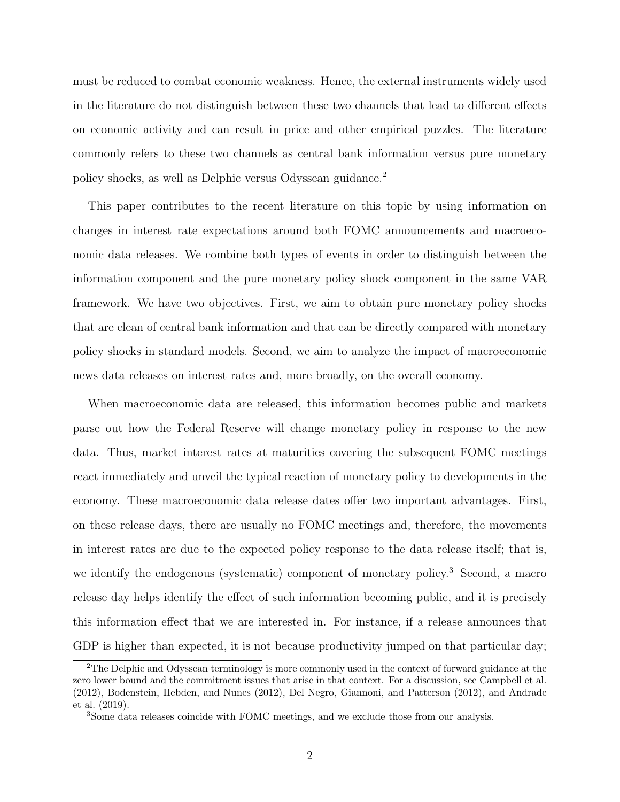must be reduced to combat economic weakness. Hence, the external instruments widely used in the literature do not distinguish between these two channels that lead to different effects on economic activity and can result in price and other empirical puzzles. The literature commonly refers to these two channels as central bank information versus pure monetary policy shocks, as well as Delphic versus Odyssean guidance.[2](#page-2-0)

This paper contributes to the recent literature on this topic by using information on changes in interest rate expectations around both FOMC announcements and macroeconomic data releases. We combine both types of events in order to distinguish between the information component and the pure monetary policy shock component in the same VAR framework. We have two objectives. First, we aim to obtain pure monetary policy shocks that are clean of central bank information and that can be directly compared with monetary policy shocks in standard models. Second, we aim to analyze the impact of macroeconomic news data releases on interest rates and, more broadly, on the overall economy.

When macroeconomic data are released, this information becomes public and markets parse out how the Federal Reserve will change monetary policy in response to the new data. Thus, market interest rates at maturities covering the subsequent FOMC meetings react immediately and unveil the typical reaction of monetary policy to developments in the economy. These macroeconomic data release dates offer two important advantages. First, on these release days, there are usually no FOMC meetings and, therefore, the movements in interest rates are due to the expected policy response to the data release itself; that is, we identify the endogenous (systematic) component of monetary policy.<sup>[3](#page-2-1)</sup> Second, a macro release day helps identify the effect of such information becoming public, and it is precisely this information effect that we are interested in. For instance, if a release announces that GDP is higher than expected, it is not because productivity jumped on that particular day;

<span id="page-2-0"></span><sup>2</sup>The Delphic and Odyssean terminology is more commonly used in the context of forward guidance at the zero lower bound and the commitment issues that arise in that context. For a discussion, see [Campbell et al.](#page-27-3) [\(2012\)](#page-27-3), [Bodenstein, Hebden, and Nunes](#page-26-1) [\(2012\)](#page-26-1), [Del Negro, Giannoni, and Patterson](#page-28-0) [\(2012\)](#page-28-0), and [Andrade](#page-26-2) [et al.](#page-26-2) [\(2019\)](#page-26-2).

<span id="page-2-1"></span><sup>3</sup>Some data releases coincide with FOMC meetings, and we exclude those from our analysis.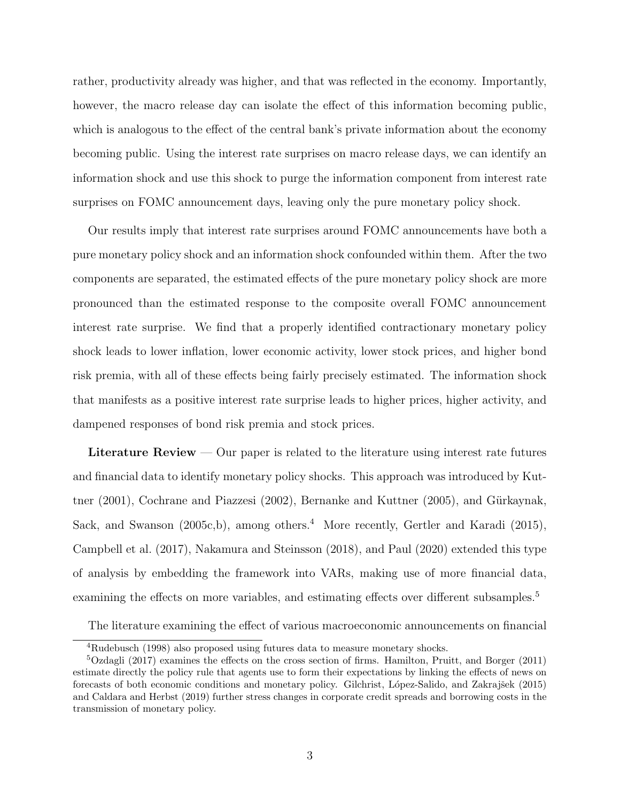rather, productivity already was higher, and that was reflected in the economy. Importantly, however, the macro release day can isolate the effect of this information becoming public, which is analogous to the effect of the central bank's private information about the economy becoming public. Using the interest rate surprises on macro release days, we can identify an information shock and use this shock to purge the information component from interest rate surprises on FOMC announcement days, leaving only the pure monetary policy shock.

Our results imply that interest rate surprises around FOMC announcements have both a pure monetary policy shock and an information shock confounded within them. After the two components are separated, the estimated effects of the pure monetary policy shock are more pronounced than the estimated response to the composite overall FOMC announcement interest rate surprise. We find that a properly identified contractionary monetary policy shock leads to lower inflation, lower economic activity, lower stock prices, and higher bond risk premia, with all of these effects being fairly precisely estimated. The information shock that manifests as a positive interest rate surprise leads to higher prices, higher activity, and dampened responses of bond risk premia and stock prices.

Literature Review  $-$  Our paper is related to the literature using interest rate futures and financial data to identify monetary policy shocks. This approach was introduced by [Kut](#page-30-0)[tner](#page-30-0)  $(2001)$ , [Cochrane and Piazzesi](#page-28-1)  $(2002)$ , [Bernanke and Kuttner](#page-26-3)  $(2005)$ , and Gürkaynak, [Sack, and Swanson](#page-29-0) [\(2005c](#page-29-0)[,b\)](#page-29-1), among others.<sup>[4](#page-3-0)</sup> More recently, [Gertler and Karadi](#page-29-2) [\(2015\)](#page-29-2), [Campbell et al.](#page-27-4) [\(2017\)](#page-27-4), [Nakamura and Steinsson](#page-31-2) [\(2018\)](#page-31-2), and [Paul](#page-31-3) [\(2020\)](#page-31-3) extended this type of analysis by embedding the framework into VARs, making use of more financial data, examining the effects on more variables, and estimating effects over different subsamples.<sup>[5](#page-3-1)</sup>

The literature examining the effect of various macroeconomic announcements on financial

<span id="page-3-1"></span><span id="page-3-0"></span><sup>4</sup>[Rudebusch](#page-32-2) [\(1998\)](#page-32-2) also proposed using futures data to measure monetary shocks.

<sup>5</sup>[Ozdagli](#page-31-4) [\(2017\)](#page-31-4) examines the effects on the cross section of firms. [Hamilton, Pruitt, and Borger](#page-29-3) [\(2011\)](#page-29-3) estimate directly the policy rule that agents use to form their expectations by linking the effects of news on forecasts of both economic conditions and monetary policy. Gilchrist, López-Salido, and Zakrajšek [\(2015\)](#page-29-4) and [Caldara and Herbst](#page-27-5) [\(2019\)](#page-27-5) further stress changes in corporate credit spreads and borrowing costs in the transmission of monetary policy.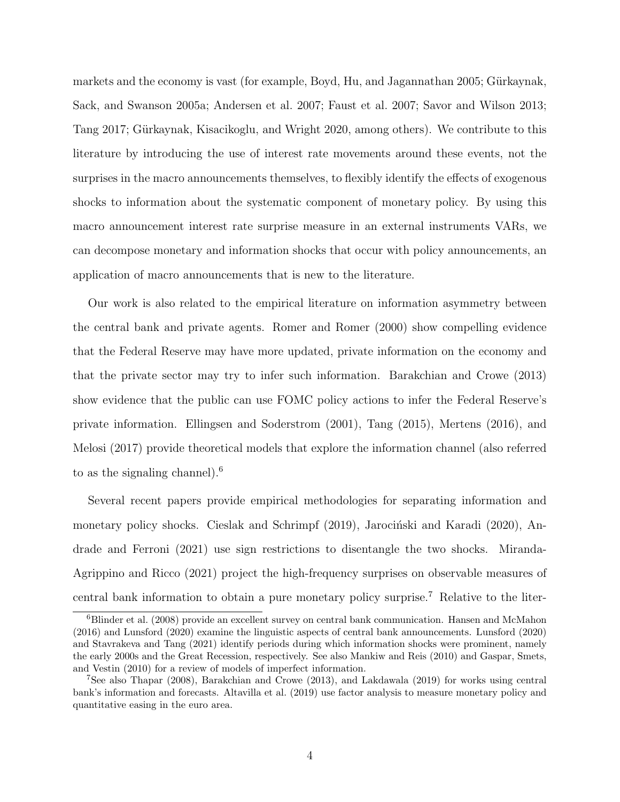markets and the economy is vast (for example, [Boyd, Hu, and Jagannathan](#page-27-6) [2005;](#page-27-6) Gürkaynak, [Sack, and Swanson](#page-29-5) [2005a;](#page-29-5) [Andersen et al.](#page-26-4) [2007;](#page-26-4) [Faust et al.](#page-28-2) [2007;](#page-28-2) [Savor and Wilson](#page-32-3) [2013;](#page-32-3) [Tang](#page-32-4) [2017;](#page-32-4) Gürkaynak, Kisacikoglu, and Wright [2020,](#page-29-6) among others). We contribute to this literature by introducing the use of interest rate movements around these events, not the surprises in the macro announcements themselves, to flexibly identify the effects of exogenous shocks to information about the systematic component of monetary policy. By using this macro announcement interest rate surprise measure in an external instruments VARs, we can decompose monetary and information shocks that occur with policy announcements, an application of macro announcements that is new to the literature.

Our work is also related to the empirical literature on information asymmetry between the central bank and private agents. [Romer and Romer](#page-31-0) [\(2000\)](#page-31-0) show compelling evidence that the Federal Reserve may have more updated, private information on the economy and that the private sector may try to infer such information. [Barakchian and Crowe](#page-26-5) [\(2013\)](#page-26-5) show evidence that the public can use FOMC policy actions to infer the Federal Reserve's private information. [Ellingsen and Soderstrom](#page-28-3) [\(2001\)](#page-28-3), [Tang](#page-32-5) [\(2015\)](#page-32-5), [Mertens](#page-30-2) [\(2016\)](#page-30-2), and [Melosi](#page-30-3) [\(2017\)](#page-30-3) provide theoretical models that explore the information channel (also referred to as the signaling channel).<sup>[6](#page-4-0)</sup>

Several recent papers provide empirical methodologies for separating information and monetary policy shocks. [Cieslak and Schrimpf](#page-27-7)  $(2019)$ , Jarociński and Karadi  $(2020)$ , [An](#page-26-6)[drade and Ferroni](#page-26-6) [\(2021\)](#page-26-6) use sign restrictions to disentangle the two shocks. [Miranda-](#page-31-5)[Agrippino and Ricco](#page-31-5) [\(2021\)](#page-31-5) project the high-frequency surprises on observable measures of central bank information to obtain a pure monetary policy surprise.[7](#page-4-1) Relative to the liter-

<span id="page-4-0"></span><sup>6</sup>[Blinder et al.](#page-26-7) [\(2008\)](#page-26-7) provide an excellent survey on central bank communication. [Hansen and McMahon](#page-29-7) [\(2016\)](#page-29-7) and [Lunsford](#page-30-5) [\(2020\)](#page-30-5) examine the linguistic aspects of central bank announcements. [Lunsford](#page-30-5) [\(2020\)](#page-30-5) and [Stavrakeva and Tang](#page-32-6) [\(2021\)](#page-32-6) identify periods during which information shocks were prominent, namely the early 2000s and the Great Recession, respectively. See also [Mankiw and Reis](#page-30-6) [\(2010\)](#page-30-6) and [Gaspar, Smets,](#page-28-4) [and Vestin](#page-28-4) [\(2010\)](#page-28-4) for a review of models of imperfect information.

<span id="page-4-1"></span><sup>7</sup>See also [Thapar](#page-32-7) [\(2008\)](#page-32-7), [Barakchian and Crowe](#page-26-5) [\(2013\)](#page-26-5), and [Lakdawala](#page-30-7) [\(2019\)](#page-30-7) for works using central bank's information and forecasts. [Altavilla et al.](#page-26-8) [\(2019\)](#page-26-8) use factor analysis to measure monetary policy and quantitative easing in the euro area.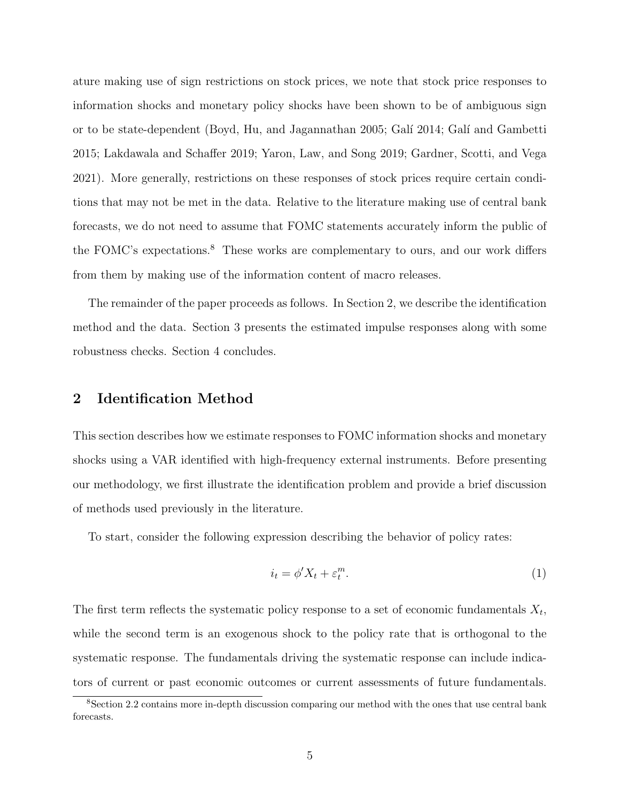ature making use of sign restrictions on stock prices, we note that stock price responses to information shocks and monetary policy shocks have been shown to be of ambiguous sign or to be state-dependent [\(Boyd, Hu, and Jagannathan](#page-27-6) [2005;](#page-27-6) Galí [2014;](#page-28-5) Galí and Gambetti [2015;](#page-28-6) [Lakdawala and Schaffer](#page-30-8) [2019;](#page-30-8) [Yaron, Law, and Song](#page-32-8) [2019;](#page-32-8) [Gardner, Scotti, and Vega](#page-28-7) [2021\)](#page-28-7). More generally, restrictions on these responses of stock prices require certain conditions that may not be met in the data. Relative to the literature making use of central bank forecasts, we do not need to assume that FOMC statements accurately inform the public of the FOMC's expectations.<sup>[8](#page-5-0)</sup> These works are complementary to ours, and our work differs from them by making use of the information content of macro releases.

The remainder of the paper proceeds as follows. In Section [2,](#page-5-1) we describe the identification method and the data. Section [3](#page-12-0) presents the estimated impulse responses along with some robustness checks. Section [4](#page-25-0) concludes.

## <span id="page-5-1"></span>2 Identification Method

This section describes how we estimate responses to FOMC information shocks and monetary shocks using a VAR identified with high-frequency external instruments. Before presenting our methodology, we first illustrate the identification problem and provide a brief discussion of methods used previously in the literature.

To start, consider the following expression describing the behavior of policy rates:

$$
i_t = \phi' X_t + \varepsilon_t^m. \tag{1}
$$

The first term reflects the systematic policy response to a set of economic fundamentals  $X_t$ , while the second term is an exogenous shock to the policy rate that is orthogonal to the systematic response. The fundamentals driving the systematic response can include indicators of current or past economic outcomes or current assessments of future fundamentals.

<span id="page-5-0"></span><sup>8</sup>Section [2.2](#page-10-0) contains more in-depth discussion comparing our method with the ones that use central bank forecasts.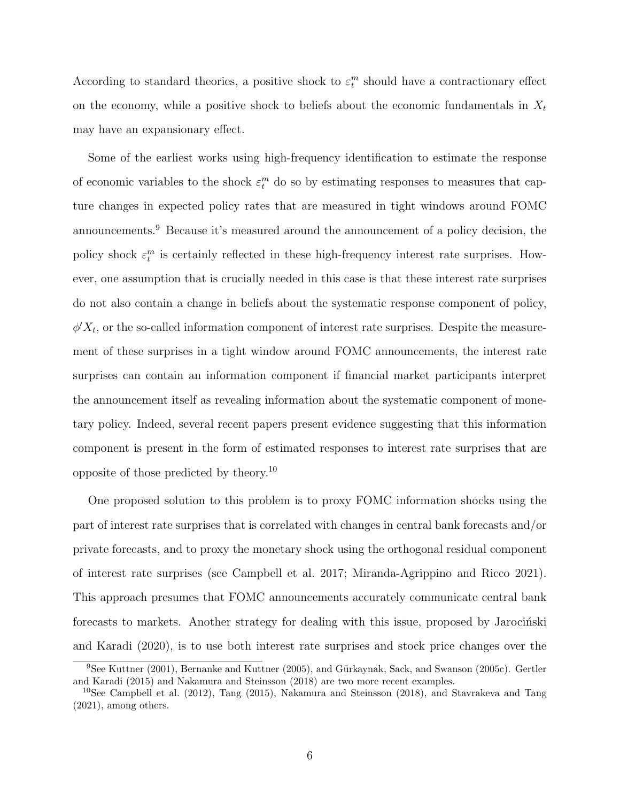According to standard theories, a positive shock to  $\varepsilon_t^m$  should have a contractionary effect on the economy, while a positive shock to beliefs about the economic fundamentals in  $X_t$ may have an expansionary effect.

Some of the earliest works using high-frequency identification to estimate the response of economic variables to the shock  $\varepsilon_t^m$  do so by estimating responses to measures that capture changes in expected policy rates that are measured in tight windows around FOMC announcements.<sup>[9](#page-6-0)</sup> Because it's measured around the announcement of a policy decision, the policy shock  $\varepsilon_t^m$  is certainly reflected in these high-frequency interest rate surprises. However, one assumption that is crucially needed in this case is that these interest rate surprises do not also contain a change in beliefs about the systematic response component of policy,  $\phi' X_t$ , or the so-called information component of interest rate surprises. Despite the measurement of these surprises in a tight window around FOMC announcements, the interest rate surprises can contain an information component if financial market participants interpret the announcement itself as revealing information about the systematic component of monetary policy. Indeed, several recent papers present evidence suggesting that this information component is present in the form of estimated responses to interest rate surprises that are opposite of those predicted by theory.[10](#page-6-1)

One proposed solution to this problem is to proxy FOMC information shocks using the part of interest rate surprises that is correlated with changes in central bank forecasts and/or private forecasts, and to proxy the monetary shock using the orthogonal residual component of interest rate surprises (see [Campbell et al.](#page-27-4) [2017;](#page-27-4) [Miranda-Agrippino and Ricco](#page-31-5) [2021\)](#page-31-5). This approach presumes that FOMC announcements accurately communicate central bank forecasts to markets. Another strategy for dealing with this issue, proposed by Jarocinski [and Karadi](#page-30-4) [\(2020\)](#page-30-4), is to use both interest rate surprises and stock price changes over the

<span id="page-6-0"></span><sup>&</sup>lt;sup>9</sup>See [Kuttner](#page-30-0) [\(2001\)](#page-30-0), [Bernanke and Kuttner](#page-26-3) [\(2005\)](#page-26-3), and Gürkaynak, Sack, and Swanson [\(2005c\)](#page-29-0). [Gertler](#page-29-2) [and Karadi](#page-29-2) [\(2015\)](#page-29-2) and [Nakamura and Steinsson](#page-31-2) [\(2018\)](#page-31-2) are two more recent examples.

<span id="page-6-1"></span><sup>10</sup>See [Campbell et al.](#page-27-3) [\(2012\)](#page-27-3), [Tang](#page-32-5) [\(2015\)](#page-32-5), [Nakamura and Steinsson](#page-31-2) [\(2018\)](#page-31-2), and [Stavrakeva and Tang](#page-32-6) [\(2021\)](#page-32-6), among others.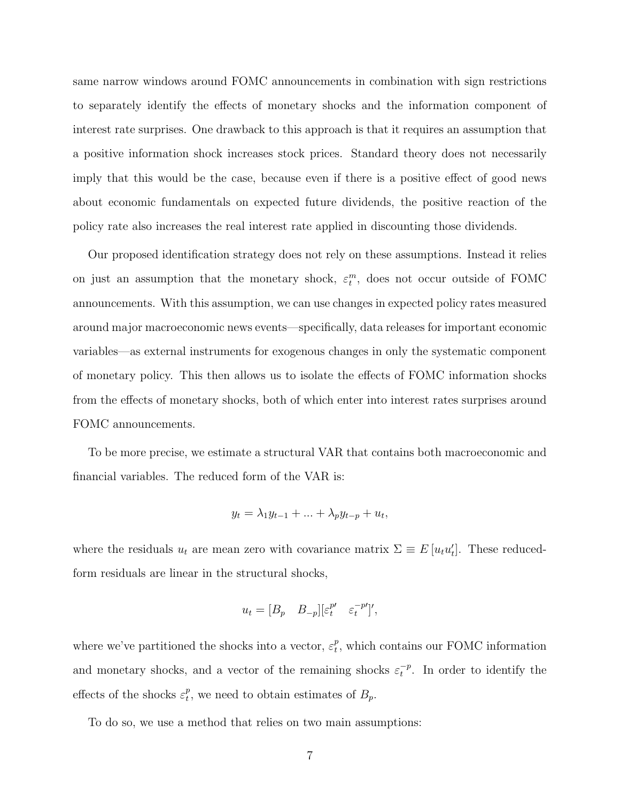same narrow windows around FOMC announcements in combination with sign restrictions to separately identify the effects of monetary shocks and the information component of interest rate surprises. One drawback to this approach is that it requires an assumption that a positive information shock increases stock prices. Standard theory does not necessarily imply that this would be the case, because even if there is a positive effect of good news about economic fundamentals on expected future dividends, the positive reaction of the policy rate also increases the real interest rate applied in discounting those dividends.

Our proposed identification strategy does not rely on these assumptions. Instead it relies on just an assumption that the monetary shock,  $\varepsilon_t^m$ , does not occur outside of FOMC announcements. With this assumption, we can use changes in expected policy rates measured around major macroeconomic news events—specifically, data releases for important economic variables—as external instruments for exogenous changes in only the systematic component of monetary policy. This then allows us to isolate the effects of FOMC information shocks from the effects of monetary shocks, both of which enter into interest rates surprises around FOMC announcements.

To be more precise, we estimate a structural VAR that contains both macroeconomic and financial variables. The reduced form of the VAR is:

$$
y_t = \lambda_1 y_{t-1} + \ldots + \lambda_p y_{t-p} + u_t,
$$

where the residuals  $u_t$  are mean zero with covariance matrix  $\Sigma \equiv E[u_t u_t']$ . These reducedform residuals are linear in the structural shocks,

$$
u_t = [B_p \quad B_{-p}][\varepsilon_t^{p'} \quad \varepsilon_t^{-p'}]',
$$

where we've partitioned the shocks into a vector,  $\varepsilon_t^p$  $_t^p$ , which contains our FOMC information and monetary shocks, and a vector of the remaining shocks  $\varepsilon_t^{-p}$  $t^{p}$ . In order to identify the effects of the shocks  $\varepsilon_t^p$  $_t^p$ , we need to obtain estimates of  $B_p$ .

To do so, we use a method that relies on two main assumptions: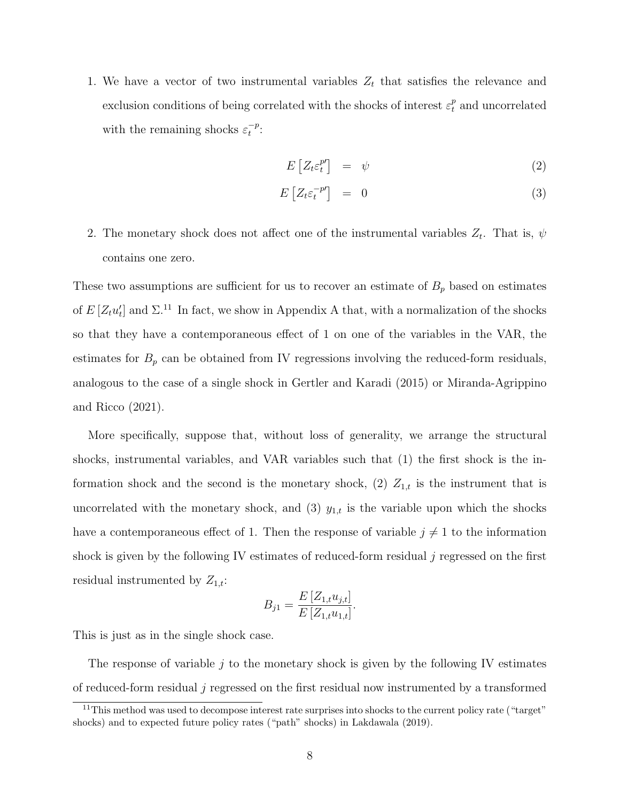1. We have a vector of two instrumental variables  $Z_t$  that satisfies the relevance and exclusion conditions of being correlated with the shocks of interest  $\varepsilon_t^p$  and uncorrelated with the remaining shocks  $\varepsilon_t^{-p}$  $\frac{-p}{t}$ :

<span id="page-8-1"></span>
$$
E\left[Z_t \varepsilon_t^{p'}\right] = \psi \tag{2}
$$

$$
E\left[Z_t \varepsilon_t^{-p'}\right] = 0 \tag{3}
$$

<span id="page-8-2"></span>2. The monetary shock does not affect one of the instrumental variables  $Z_t$ . That is,  $\psi$ contains one zero.

These two assumptions are sufficient for us to recover an estimate of  $B_p$  based on estimates of  $E[Z_t u'_t]$  and  $\Sigma$ .<sup>[11](#page-8-0)</sup> In fact, we show in [A](#page-33-0)ppendix A that, with a normalization of the shocks so that they have a contemporaneous effect of 1 on one of the variables in the VAR, the estimates for  $B_p$  can be obtained from IV regressions involving the reduced-form residuals, analogous to the case of a single shock in [Gertler and Karadi](#page-29-2) [\(2015\)](#page-29-2) or [Miranda-Agrippino](#page-31-5) [and Ricco](#page-31-5) [\(2021\)](#page-31-5).

More specifically, suppose that, without loss of generality, we arrange the structural shocks, instrumental variables, and VAR variables such that (1) the first shock is the information shock and the second is the monetary shock, (2)  $Z_{1,t}$  is the instrument that is uncorrelated with the monetary shock, and (3)  $y_{1,t}$  is the variable upon which the shocks have a contemporaneous effect of 1. Then the response of variable  $j \neq 1$  to the information shock is given by the following IV estimates of reduced-form residual  $j$  regressed on the first residual instrumented by  $Z_{1,t}$ :

$$
B_{j1} = \frac{E\left[Z_{1,t}u_{j,t}\right]}{E\left[Z_{1,t}u_{1,t}\right]}.
$$

This is just as in the single shock case.

The response of variable  $j$  to the monetary shock is given by the following IV estimates of reduced-form residual j regressed on the first residual now instrumented by a transformed

<span id="page-8-0"></span> $11$ This method was used to decompose interest rate surprises into shocks to the current policy rate ("target") shocks) and to expected future policy rates ("path" shocks) in [Lakdawala](#page-30-7) [\(2019\)](#page-30-7).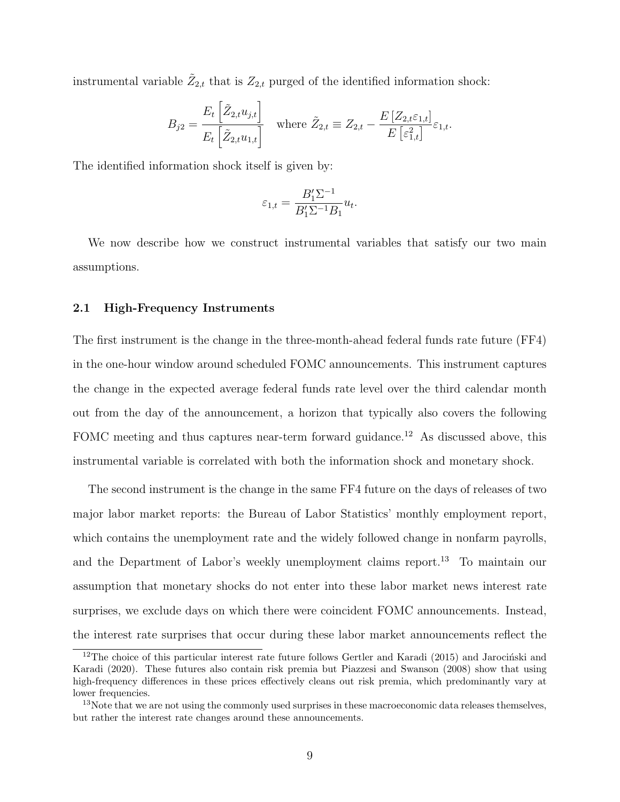instrumental variable  $\tilde{Z}_{2,t}$  that is  $Z_{2,t}$  purged of the identified information shock:

$$
B_{j2} = \frac{E_t \left[ \tilde{Z}_{2,t} u_{j,t} \right]}{E_t \left[ \tilde{Z}_{2,t} u_{1,t} \right]} \quad \text{where } \tilde{Z}_{2,t} \equiv Z_{2,t} - \frac{E \left[ Z_{2,t} \varepsilon_{1,t} \right]}{E \left[ \varepsilon_{1,t}^2 \right]} \varepsilon_{1,t}.
$$

The identified information shock itself is given by:

$$
\varepsilon_{1,t} = \frac{B_1'\Sigma^{-1}}{B_1'\Sigma^{-1}B_1}u_t.
$$

We now describe how we construct instrumental variables that satisfy our two main assumptions.

#### 2.1 High-Frequency Instruments

The first instrument is the change in the three-month-ahead federal funds rate future (FF4) in the one-hour window around scheduled FOMC announcements. This instrument captures the change in the expected average federal funds rate level over the third calendar month out from the day of the announcement, a horizon that typically also covers the following FOMC meeting and thus captures near-term forward guidance.<sup>[12](#page-9-0)</sup> As discussed above, this instrumental variable is correlated with both the information shock and monetary shock.

The second instrument is the change in the same FF4 future on the days of releases of two major labor market reports: the Bureau of Labor Statistics' monthly employment report, which contains the unemployment rate and the widely followed change in nonfarm payrolls, and the Department of Labor's weekly unemployment claims report.[13](#page-9-1) To maintain our assumption that monetary shocks do not enter into these labor market news interest rate surprises, we exclude days on which there were coincident FOMC announcements. Instead, the interest rate surprises that occur during these labor market announcements reflect the

<span id="page-9-0"></span> $12$ The choice of this particular interest rate future follows [Gertler and Karadi](#page-29-2) [\(2015\)](#page-29-2) and Jarociński and [Karadi](#page-30-4) [\(2020\)](#page-30-4). These futures also contain risk premia but [Piazzesi and Swanson](#page-31-6) [\(2008\)](#page-31-6) show that using high-frequency differences in these prices effectively cleans out risk premia, which predominantly vary at lower frequencies.

<span id="page-9-1"></span><sup>&</sup>lt;sup>13</sup>Note that we are not using the commonly used surprises in these macroeconomic data releases themselves, but rather the interest rate changes around these announcements.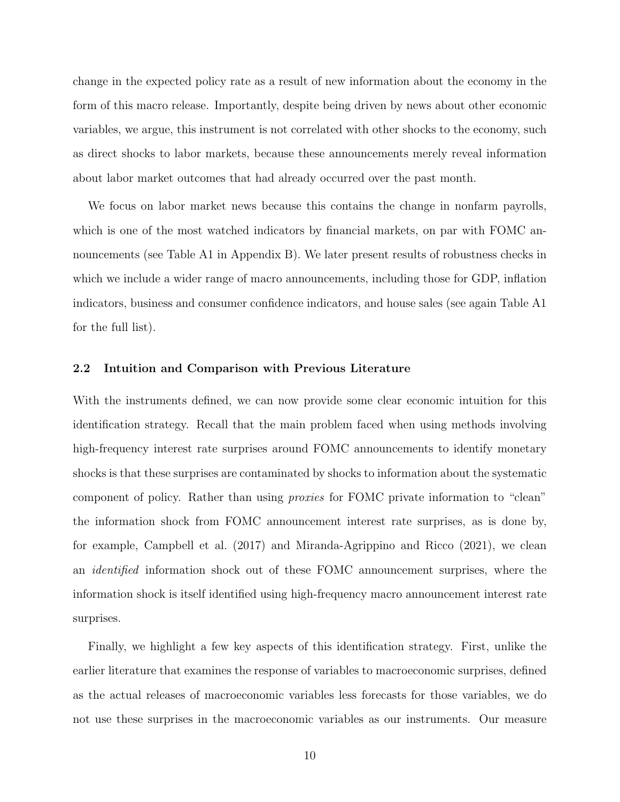change in the expected policy rate as a result of new information about the economy in the form of this macro release. Importantly, despite being driven by news about other economic variables, we argue, this instrument is not correlated with other shocks to the economy, such as direct shocks to labor markets, because these announcements merely reveal information about labor market outcomes that had already occurred over the past month.

We focus on labor market news because this contains the change in nonfarm payrolls, which is one of the most watched indicators by financial markets, on par with FOMC an-nouncements (see Table [A1](#page-38-0) in Appendix [B\)](#page-38-1). We later present results of robustness checks in which we include a wider range of macro announcements, including those for GDP, inflation indicators, business and consumer confidence indicators, and house sales (see again Table [A1](#page-38-0) for the full list).

#### <span id="page-10-0"></span>2.2 Intuition and Comparison with Previous Literature

With the instruments defined, we can now provide some clear economic intuition for this identification strategy. Recall that the main problem faced when using methods involving high-frequency interest rate surprises around FOMC announcements to identify monetary shocks is that these surprises are contaminated by shocks to information about the systematic component of policy. Rather than using proxies for FOMC private information to "clean" the information shock from FOMC announcement interest rate surprises, as is done by, for example, [Campbell et al.](#page-27-4) [\(2017\)](#page-27-4) and [Miranda-Agrippino and Ricco](#page-31-5) [\(2021\)](#page-31-5), we clean an identified information shock out of these FOMC announcement surprises, where the information shock is itself identified using high-frequency macro announcement interest rate surprises.

Finally, we highlight a few key aspects of this identification strategy. First, unlike the earlier literature that examines the response of variables to macroeconomic surprises, defined as the actual releases of macroeconomic variables less forecasts for those variables, we do not use these surprises in the macroeconomic variables as our instruments. Our measure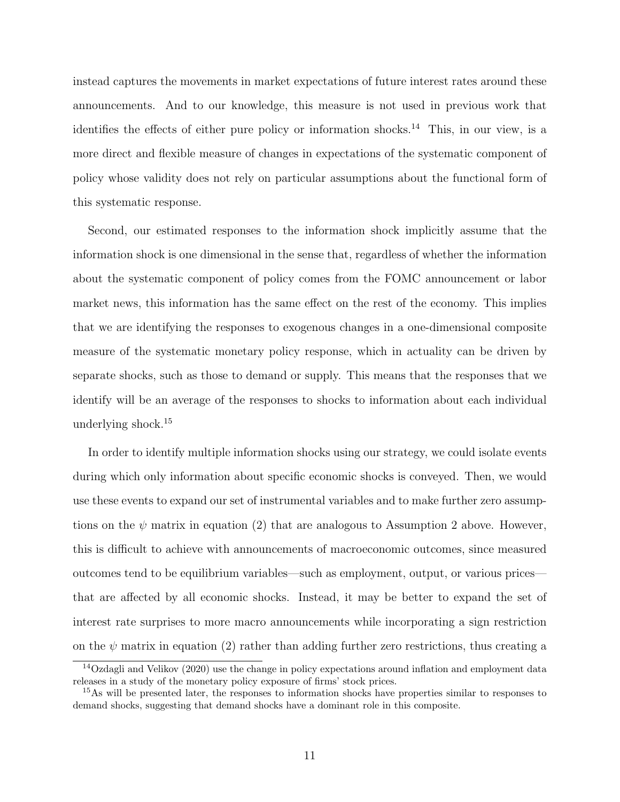instead captures the movements in market expectations of future interest rates around these announcements. And to our knowledge, this measure is not used in previous work that identifies the effects of either pure policy or information shocks.<sup>[14](#page-11-0)</sup> This, in our view, is a more direct and flexible measure of changes in expectations of the systematic component of policy whose validity does not rely on particular assumptions about the functional form of this systematic response.

Second, our estimated responses to the information shock implicitly assume that the information shock is one dimensional in the sense that, regardless of whether the information about the systematic component of policy comes from the FOMC announcement or labor market news, this information has the same effect on the rest of the economy. This implies that we are identifying the responses to exogenous changes in a one-dimensional composite measure of the systematic monetary policy response, which in actuality can be driven by separate shocks, such as those to demand or supply. This means that the responses that we identify will be an average of the responses to shocks to information about each individual underlying shock.[15](#page-11-1)

In order to identify multiple information shocks using our strategy, we could isolate events during which only information about specific economic shocks is conveyed. Then, we would use these events to expand our set of instrumental variables and to make further zero assumptions on the  $\psi$  matrix in equation [\(2\)](#page-8-1) that are analogous to Assumption [2](#page-8-2) above. However, this is difficult to achieve with announcements of macroeconomic outcomes, since measured outcomes tend to be equilibrium variables—such as employment, output, or various prices that are affected by all economic shocks. Instead, it may be better to expand the set of interest rate surprises to more macro announcements while incorporating a sign restriction on the  $\psi$  matrix in equation [\(2\)](#page-8-1) rather than adding further zero restrictions, thus creating a

<span id="page-11-0"></span><sup>14</sup>[Ozdagli and Velikov](#page-31-7) [\(2020\)](#page-31-7) use the change in policy expectations around inflation and employment data releases in a study of the monetary policy exposure of firms' stock prices.

<span id="page-11-1"></span><sup>&</sup>lt;sup>15</sup>As will be presented later, the responses to information shocks have properties similar to responses to demand shocks, suggesting that demand shocks have a dominant role in this composite.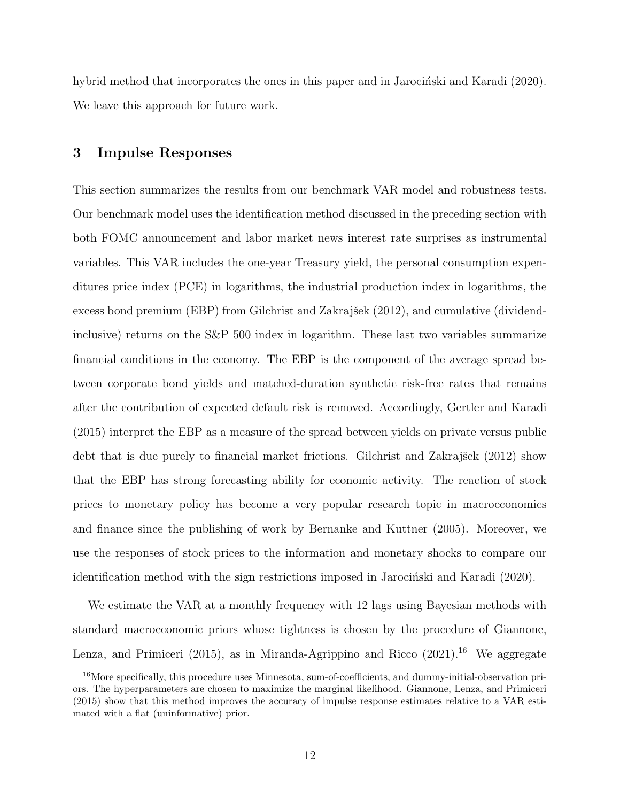<span id="page-12-0"></span>hybrid method that incorporates the ones in this paper and in Jarocinski and Karadi [\(2020\)](#page-30-4). We leave this approach for future work.

### 3 Impulse Responses

This section summarizes the results from our benchmark VAR model and robustness tests. Our benchmark model uses the identification method discussed in the preceding section with both FOMC announcement and labor market news interest rate surprises as instrumental variables. This VAR includes the one-year Treasury yield, the personal consumption expenditures price index (PCE) in logarithms, the industrial production index in logarithms, the excess bond premium (EBP) from Gilchrist and Zakrajšek [\(2012\)](#page-29-8), and cumulative (dividendinclusive) returns on the S&P 500 index in logarithm. These last two variables summarize financial conditions in the economy. The EBP is the component of the average spread between corporate bond yields and matched-duration synthetic risk-free rates that remains after the contribution of expected default risk is removed. Accordingly, [Gertler and Karadi](#page-29-2) [\(2015\)](#page-29-2) interpret the EBP as a measure of the spread between yields on private versus public debt that is due purely to financial market frictions. Gilchrist and Zakrajšek [\(2012\)](#page-29-8) show that the EBP has strong forecasting ability for economic activity. The reaction of stock prices to monetary policy has become a very popular research topic in macroeconomics and finance since the publishing of work by [Bernanke and Kuttner](#page-26-3) [\(2005\)](#page-26-3). Moreover, we use the responses of stock prices to the information and monetary shocks to compare our identification method with the sign restrictions imposed in Jarocinski and Karadi [\(2020\)](#page-30-9).

We estimate the VAR at a monthly frequency with 12 lags using Bayesian methods with standard macroeconomic priors whose tightness is chosen by the procedure of [Giannone,](#page-29-9) [Lenza, and Primiceri](#page-29-9) [\(2015\)](#page-29-9), as in [Miranda-Agrippino and Ricco](#page-31-5) [\(2021\)](#page-31-5).<sup>[16](#page-12-1)</sup> We aggregate

<span id="page-12-1"></span><sup>&</sup>lt;sup>16</sup>More specifically, this procedure uses Minnesota, sum-of-coefficients, and dummy-initial-observation priors. The hyperparameters are chosen to maximize the marginal likelihood. [Giannone, Lenza, and Primiceri](#page-29-9) [\(2015\)](#page-29-9) show that this method improves the accuracy of impulse response estimates relative to a VAR estimated with a flat (uninformative) prior.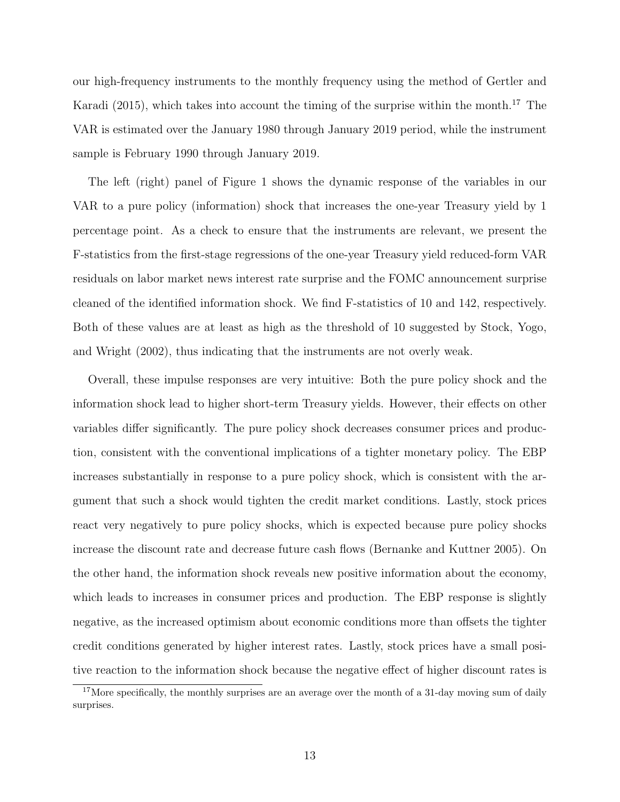our high-frequency instruments to the monthly frequency using the method of [Gertler and](#page-29-2) [Karadi](#page-29-2) [\(2015\)](#page-29-2), which takes into account the timing of the surprise within the month.<sup>[17](#page-13-0)</sup> The VAR is estimated over the January 1980 through January 2019 period, while the instrument sample is February 1990 through January 2019.

The left (right) panel of Figure [1](#page-14-0) shows the dynamic response of the variables in our VAR to a pure policy (information) shock that increases the one-year Treasury yield by 1 percentage point. As a check to ensure that the instruments are relevant, we present the F-statistics from the first-stage regressions of the one-year Treasury yield reduced-form VAR residuals on labor market news interest rate surprise and the FOMC announcement surprise cleaned of the identified information shock. We find F-statistics of 10 and 142, respectively. Both of these values are at least as high as the threshold of 10 suggested by [Stock, Yogo,](#page-32-9) [and Wright](#page-32-9) [\(2002\)](#page-32-9), thus indicating that the instruments are not overly weak.

Overall, these impulse responses are very intuitive: Both the pure policy shock and the information shock lead to higher short-term Treasury yields. However, their effects on other variables differ significantly. The pure policy shock decreases consumer prices and production, consistent with the conventional implications of a tighter monetary policy. The EBP increases substantially in response to a pure policy shock, which is consistent with the argument that such a shock would tighten the credit market conditions. Lastly, stock prices react very negatively to pure policy shocks, which is expected because pure policy shocks increase the discount rate and decrease future cash flows [\(Bernanke and Kuttner](#page-26-3) [2005\)](#page-26-3). On the other hand, the information shock reveals new positive information about the economy, which leads to increases in consumer prices and production. The EBP response is slightly negative, as the increased optimism about economic conditions more than offsets the tighter credit conditions generated by higher interest rates. Lastly, stock prices have a small positive reaction to the information shock because the negative effect of higher discount rates is

<span id="page-13-0"></span><sup>&</sup>lt;sup>17</sup>More specifically, the monthly surprises are an average over the month of a 31-day moving sum of daily surprises.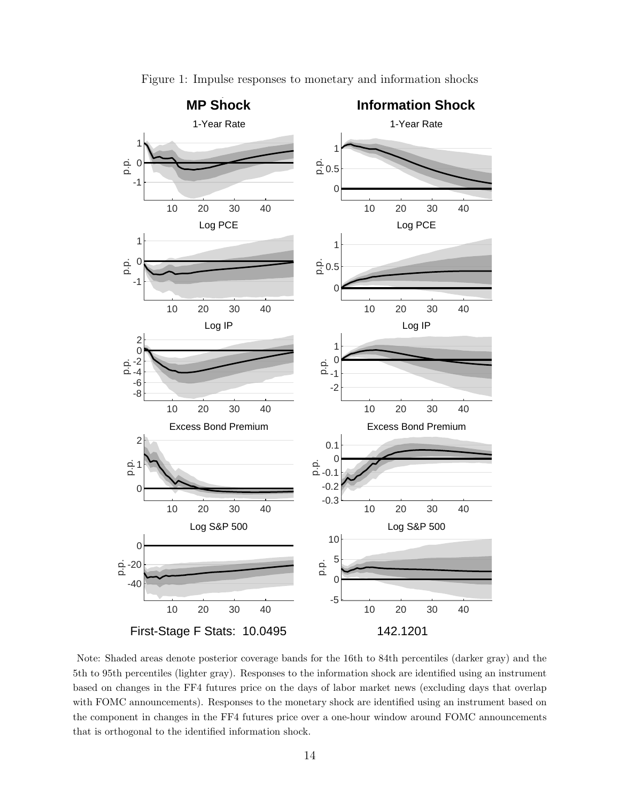<span id="page-14-0"></span>

Figure 1: Impulse responses to monetary and information shocks

Note: Shaded areas denote posterior coverage bands for the 16th to 84th percentiles (darker gray) and the 5th to 95th percentiles (lighter gray). Responses to the information shock are identified using an instrument based on changes in the FF4 futures price on the days of labor market news (excluding days that overlap with FOMC announcements). Responses to the monetary shock are identified using an instrument based on the component in changes in the FF4 futures price over a one-hour window around FOMC announcements that is orthogonal to the identified information shock.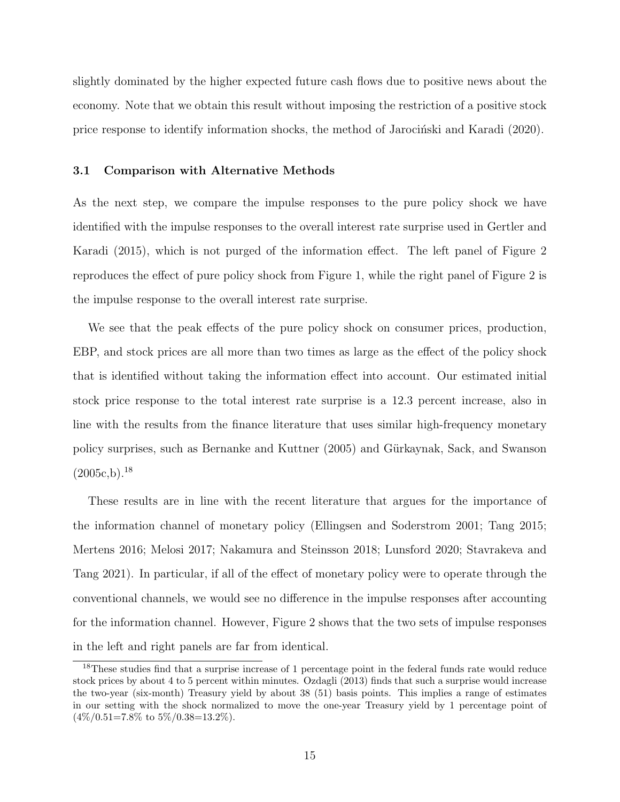slightly dominated by the higher expected future cash flows due to positive news about the economy. Note that we obtain this result without imposing the restriction of a positive stock price response to identify information shocks, the method of Jarocinski and Karadi [\(2020\)](#page-30-9).

#### 3.1 Comparison with Alternative Methods

As the next step, we compare the impulse responses to the pure policy shock we have identified with the impulse responses to the overall interest rate surprise used in [Gertler and](#page-29-2) [Karadi](#page-29-2) [\(2015\)](#page-29-2), which is not purged of the information effect. The left panel of Figure [2](#page-16-0) reproduces the effect of pure policy shock from Figure [1,](#page-14-0) while the right panel of Figure [2](#page-16-0) is the impulse response to the overall interest rate surprise.

We see that the peak effects of the pure policy shock on consumer prices, production, EBP, and stock prices are all more than two times as large as the effect of the policy shock that is identified without taking the information effect into account. Our estimated initial stock price response to the total interest rate surprise is a 12.3 percent increase, also in line with the results from the finance literature that uses similar high-frequency monetary policy surprises, such as [Bernanke and Kuttner](#page-26-3) [\(2005\)](#page-26-3) and [G¨urkaynak, Sack, and Swanson](#page-29-0)  $(2005c,b).<sup>18</sup>$  $(2005c,b).<sup>18</sup>$  $(2005c,b).<sup>18</sup>$  $(2005c,b).<sup>18</sup>$  $(2005c,b).<sup>18</sup>$ 

These results are in line with the recent literature that argues for the importance of the information channel of monetary policy [\(Ellingsen and Soderstrom](#page-28-3) [2001;](#page-28-3) [Tang](#page-32-5) [2015;](#page-32-5) [Mertens](#page-30-2) [2016;](#page-30-2) [Melosi](#page-30-3) [2017;](#page-30-3) [Nakamura and Steinsson](#page-31-2) [2018;](#page-31-2) [Lunsford](#page-30-5) [2020;](#page-30-5) [Stavrakeva and](#page-32-6) [Tang](#page-32-6) [2021\)](#page-32-6). In particular, if all of the effect of monetary policy were to operate through the conventional channels, we would see no difference in the impulse responses after accounting for the information channel. However, Figure [2](#page-16-0) shows that the two sets of impulse responses in the left and right panels are far from identical.

<span id="page-15-0"></span><sup>&</sup>lt;sup>18</sup>These studies find that a surprise increase of 1 percentage point in the federal funds rate would reduce stock prices by about 4 to 5 percent within minutes. [Ozdagli](#page-31-8) [\(2013\)](#page-31-8) finds that such a surprise would increase the two-year (six-month) Treasury yield by about 38 (51) basis points. This implies a range of estimates in our setting with the shock normalized to move the one-year Treasury yield by 1 percentage point of  $(4\%/0.51=7.8\% \text{ to } 5\%/0.38=13.2\%).$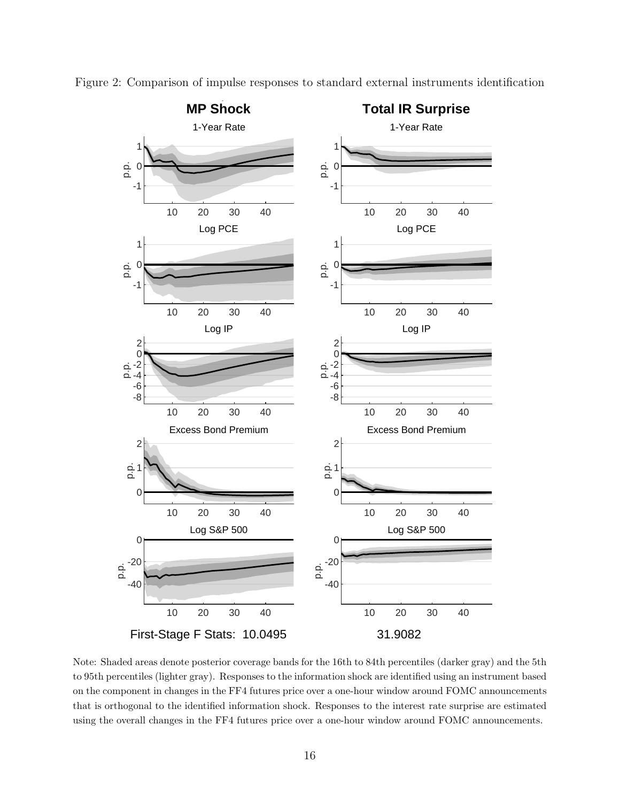

<span id="page-16-0"></span>Figure 2: Comparison of impulse responses to standard external instruments identification

Note: Shaded areas denote posterior coverage bands for the 16th to 84th percentiles (darker gray) and the 5th to 95th percentiles (lighter gray). Responses to the information shock are identified using an instrument based on the component in changes in the FF4 futures price over a one-hour window around FOMC announcements that is orthogonal to the identified information shock. Responses to the interest rate surprise are estimated using the overall changes in the FF4 futures price over a one-hour window around FOMC announcements.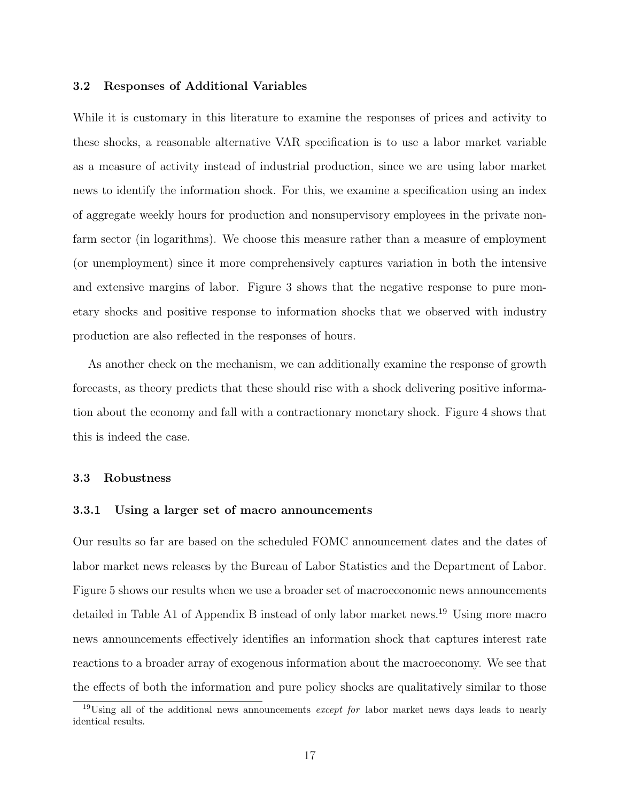#### 3.2 Responses of Additional Variables

While it is customary in this literature to examine the responses of prices and activity to these shocks, a reasonable alternative VAR specification is to use a labor market variable as a measure of activity instead of industrial production, since we are using labor market news to identify the information shock. For this, we examine a specification using an index of aggregate weekly hours for production and nonsupervisory employees in the private nonfarm sector (in logarithms). We choose this measure rather than a measure of employment (or unemployment) since it more comprehensively captures variation in both the intensive and extensive margins of labor. Figure [3](#page-18-0) shows that the negative response to pure monetary shocks and positive response to information shocks that we observed with industry production are also reflected in the responses of hours.

As another check on the mechanism, we can additionally examine the response of growth forecasts, as theory predicts that these should rise with a shock delivering positive information about the economy and fall with a contractionary monetary shock. Figure [4](#page-19-0) shows that this is indeed the case.

#### 3.3 Robustness

#### 3.3.1 Using a larger set of macro announcements

Our results so far are based on the scheduled FOMC announcement dates and the dates of labor market news releases by the Bureau of Labor Statistics and the Department of Labor. Figure [5](#page-21-0) shows our results when we use a broader set of macroeconomic news announcements detailed in Table [A1](#page-38-0) of Appendix [B](#page-38-1) instead of only labor market news.<sup>[19](#page-17-0)</sup> Using more macro news announcements effectively identifies an information shock that captures interest rate reactions to a broader array of exogenous information about the macroeconomy. We see that the effects of both the information and pure policy shocks are qualitatively similar to those

<span id="page-17-0"></span> $19U\sin g$  all of the additional news announcements *except for* labor market news days leads to nearly identical results.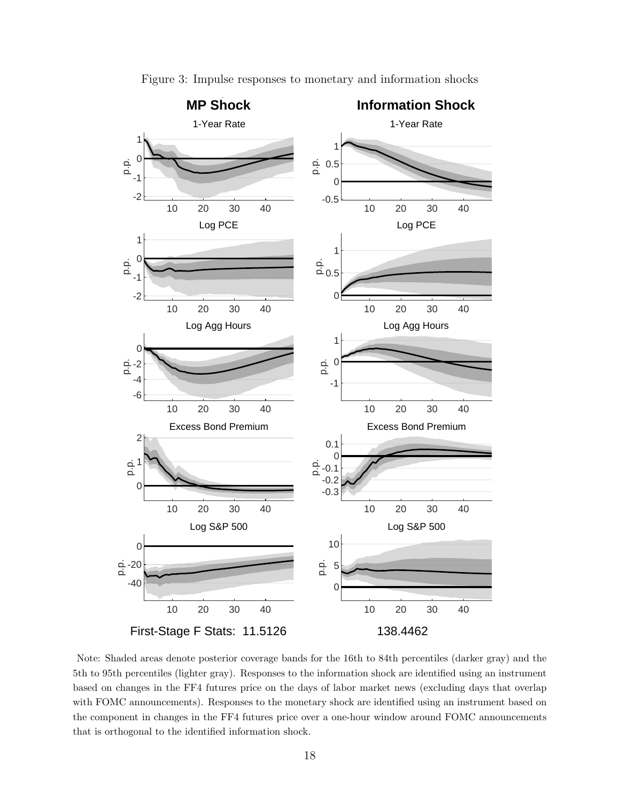<span id="page-18-0"></span>

Figure 3: Impulse responses to monetary and information shocks

Note: Shaded areas denote posterior coverage bands for the 16th to 84th percentiles (darker gray) and the 5th to 95th percentiles (lighter gray). Responses to the information shock are identified using an instrument based on changes in the FF4 futures price on the days of labor market news (excluding days that overlap with FOMC announcements). Responses to the monetary shock are identified using an instrument based on the component in changes in the FF4 futures price over a one-hour window around FOMC announcements that is orthogonal to the identified information shock.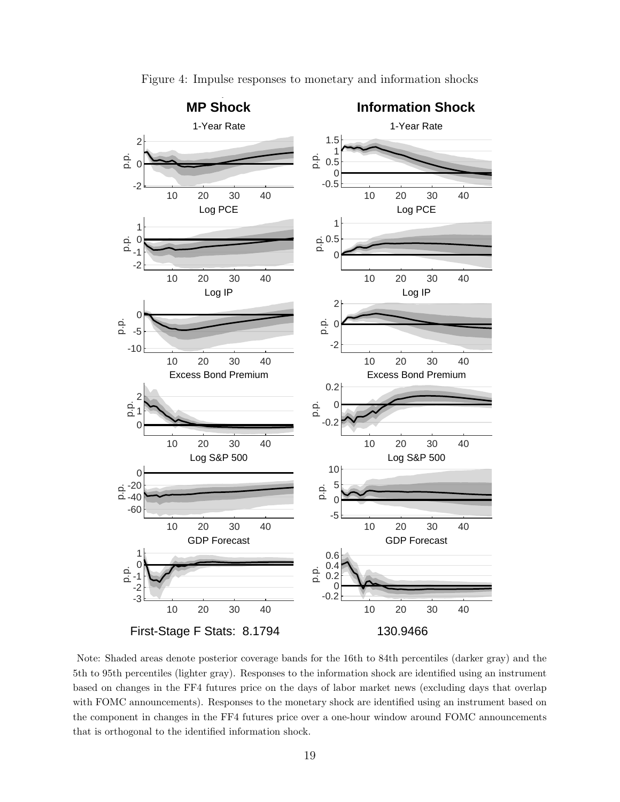<span id="page-19-0"></span>

Figure 4: Impulse responses to monetary and information shocks

Note: Shaded areas denote posterior coverage bands for the 16th to 84th percentiles (darker gray) and the 5th to 95th percentiles (lighter gray). Responses to the information shock are identified using an instrument based on changes in the FF4 futures price on the days of labor market news (excluding days that overlap with FOMC announcements). Responses to the monetary shock are identified using an instrument based on the component in changes in the FF4 futures price over a one-hour window around FOMC announcements that is orthogonal to the identified information shock.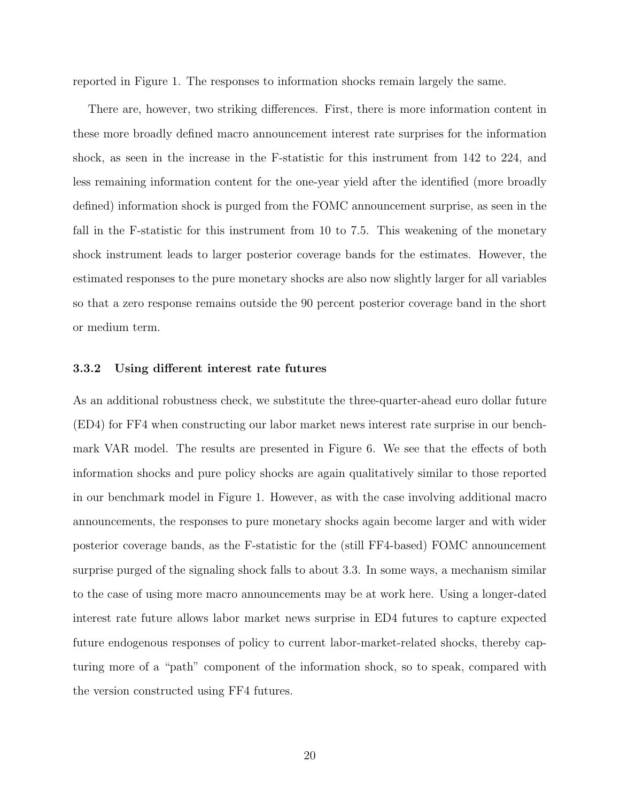reported in Figure [1.](#page-14-0) The responses to information shocks remain largely the same.

There are, however, two striking differences. First, there is more information content in these more broadly defined macro announcement interest rate surprises for the information shock, as seen in the increase in the F-statistic for this instrument from 142 to 224, and less remaining information content for the one-year yield after the identified (more broadly defined) information shock is purged from the FOMC announcement surprise, as seen in the fall in the F-statistic for this instrument from 10 to 7.5. This weakening of the monetary shock instrument leads to larger posterior coverage bands for the estimates. However, the estimated responses to the pure monetary shocks are also now slightly larger for all variables so that a zero response remains outside the 90 percent posterior coverage band in the short or medium term.

#### 3.3.2 Using different interest rate futures

As an additional robustness check, we substitute the three-quarter-ahead euro dollar future (ED4) for FF4 when constructing our labor market news interest rate surprise in our benchmark VAR model. The results are presented in Figure [6.](#page-22-0) We see that the effects of both information shocks and pure policy shocks are again qualitatively similar to those reported in our benchmark model in Figure [1.](#page-14-0) However, as with the case involving additional macro announcements, the responses to pure monetary shocks again become larger and with wider posterior coverage bands, as the F-statistic for the (still FF4-based) FOMC announcement surprise purged of the signaling shock falls to about 3.3. In some ways, a mechanism similar to the case of using more macro announcements may be at work here. Using a longer-dated interest rate future allows labor market news surprise in ED4 futures to capture expected future endogenous responses of policy to current labor-market-related shocks, thereby capturing more of a "path" component of the information shock, so to speak, compared with the version constructed using FF4 futures.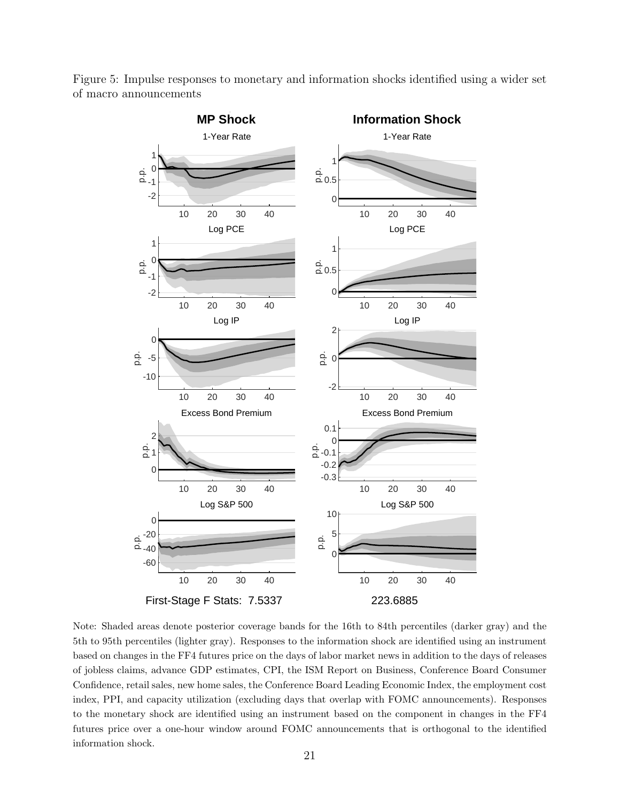

<span id="page-21-0"></span>Figure 5: Impulse responses to monetary and information shocks identified using a wider set of macro announcements

Note: Shaded areas denote posterior coverage bands for the 16th to 84th percentiles (darker gray) and the 5th to 95th percentiles (lighter gray). Responses to the information shock are identified using an instrument based on changes in the FF4 futures price on the days of labor market news in addition to the days of releases of jobless claims, advance GDP estimates, CPI, the ISM Report on Business, Conference Board Consumer Confidence, retail sales, new home sales, the Conference Board Leading Economic Index, the employment cost index, PPI, and capacity utilization (excluding days that overlap with FOMC announcements). Responses to the monetary shock are identified using an instrument based on the component in changes in the FF4 futures price over a one-hour window around FOMC announcements that is orthogonal to the identified information shock.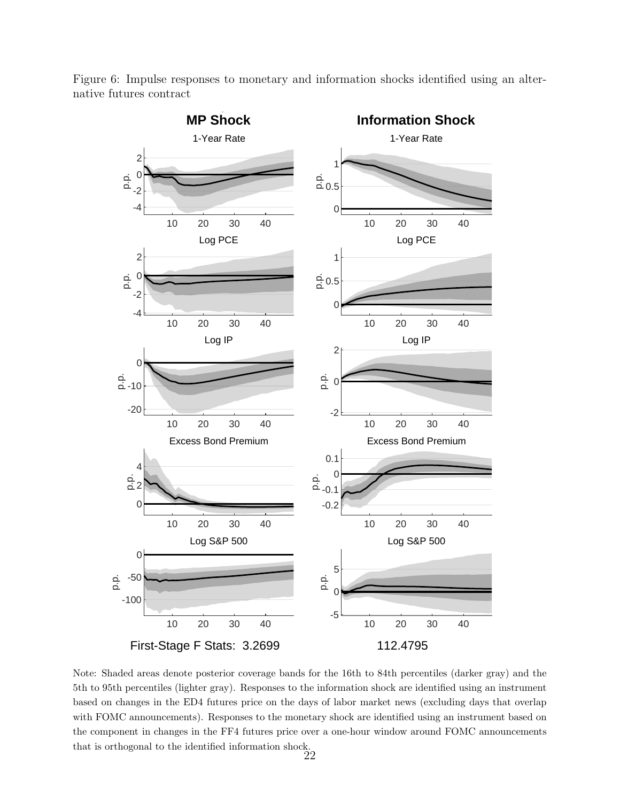

<span id="page-22-0"></span>Figure 6: Impulse responses to monetary and information shocks identified using an alternative futures contract

Note: Shaded areas denote posterior coverage bands for the 16th to 84th percentiles (darker gray) and the 5th to 95th percentiles (lighter gray). Responses to the information shock are identified using an instrument based on changes in the ED4 futures price on the days of labor market news (excluding days that overlap with FOMC announcements). Responses to the monetary shock are identified using an instrument based on the component in changes in the FF4 futures price over a one-hour window around FOMC announcements that is orthogonal to the identified information shock.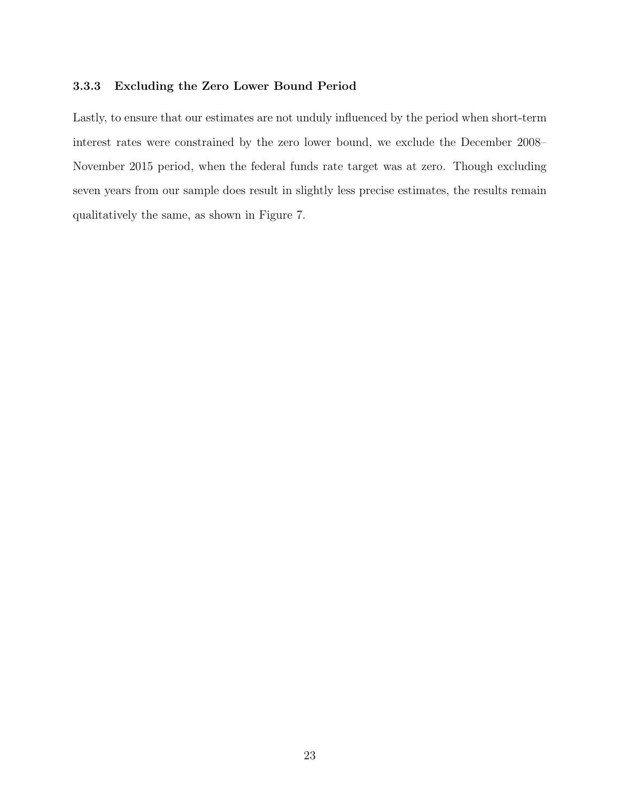#### 3.3.3 Excluding the Zero Lower Bound Period

Lastly, to ensure that our estimates are not unduly influenced by the period when short-term interest rates were constrained by the zero lower bound, we exclude the December 2008– November 2015 period, when the federal funds rate target was at zero. Though excluding seven years from our sample does result in slightly less precise estimates, the results remain qualitatively the same, as shown in Figure [7.](#page-24-0)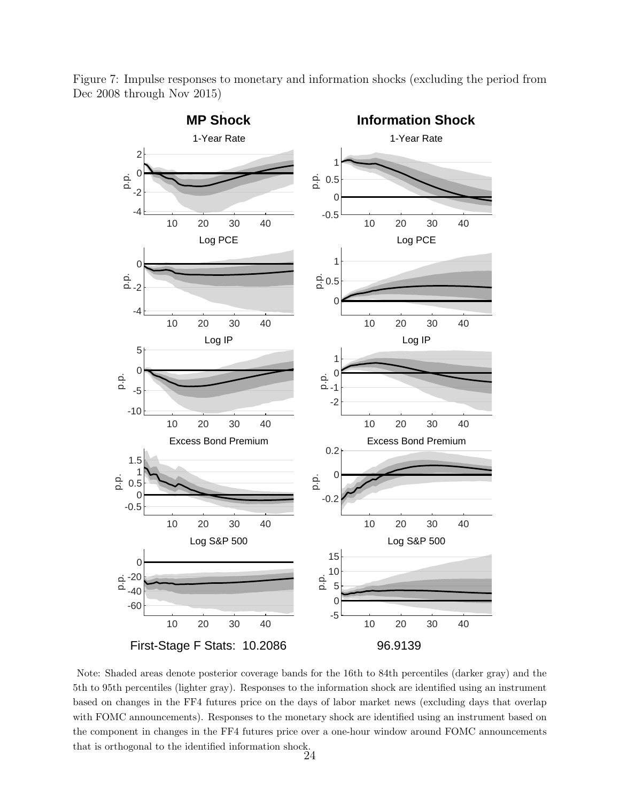

<span id="page-24-0"></span>Figure 7: Impulse responses to monetary and information shocks (excluding the period from Dec 2008 through Nov 2015)

Note: Shaded areas denote posterior coverage bands for the 16th to 84th percentiles (darker gray) and the 5th to 95th percentiles (lighter gray). Responses to the information shock are identified using an instrument based on changes in the FF4 futures price on the days of labor market news (excluding days that overlap with FOMC announcements). Responses to the monetary shock are identified using an instrument based on the component in changes in the FF4 futures price over a one-hour window around FOMC announcements that is orthogonal to the identified information shock.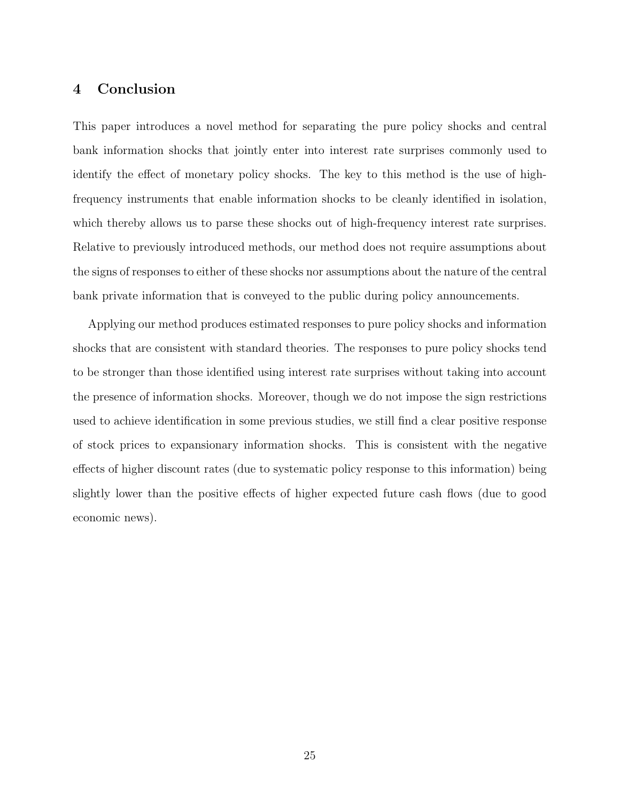## <span id="page-25-0"></span>4 Conclusion

This paper introduces a novel method for separating the pure policy shocks and central bank information shocks that jointly enter into interest rate surprises commonly used to identify the effect of monetary policy shocks. The key to this method is the use of highfrequency instruments that enable information shocks to be cleanly identified in isolation, which thereby allows us to parse these shocks out of high-frequency interest rate surprises. Relative to previously introduced methods, our method does not require assumptions about the signs of responses to either of these shocks nor assumptions about the nature of the central bank private information that is conveyed to the public during policy announcements.

Applying our method produces estimated responses to pure policy shocks and information shocks that are consistent with standard theories. The responses to pure policy shocks tend to be stronger than those identified using interest rate surprises without taking into account the presence of information shocks. Moreover, though we do not impose the sign restrictions used to achieve identification in some previous studies, we still find a clear positive response of stock prices to expansionary information shocks. This is consistent with the negative effects of higher discount rates (due to systematic policy response to this information) being slightly lower than the positive effects of higher expected future cash flows (due to good economic news).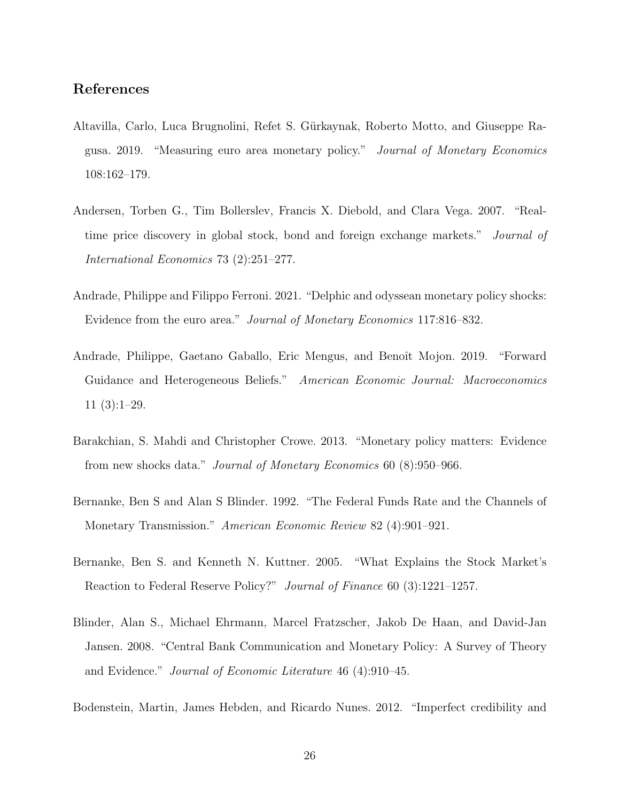## References

- <span id="page-26-8"></span>Altavilla, Carlo, Luca Brugnolini, Refet S. G¨urkaynak, Roberto Motto, and Giuseppe Ragusa. 2019. "Measuring euro area monetary policy." Journal of Monetary Economics 108:162–179.
- <span id="page-26-4"></span>Andersen, Torben G., Tim Bollerslev, Francis X. Diebold, and Clara Vega. 2007. "Realtime price discovery in global stock, bond and foreign exchange markets." Journal of International Economics 73 (2):251–277.
- <span id="page-26-6"></span>Andrade, Philippe and Filippo Ferroni. 2021. "Delphic and odyssean monetary policy shocks: Evidence from the euro area." Journal of Monetary Economics 117:816–832.
- <span id="page-26-2"></span>Andrade, Philippe, Gaetano Gaballo, Eric Mengus, and Benoît Mojon. 2019. "Forward Guidance and Heterogeneous Beliefs." American Economic Journal: Macroeconomics 11 (3):1–29.
- <span id="page-26-5"></span>Barakchian, S. Mahdi and Christopher Crowe. 2013. "Monetary policy matters: Evidence from new shocks data." Journal of Monetary Economics 60 (8):950–966.
- <span id="page-26-0"></span>Bernanke, Ben S and Alan S Blinder. 1992. "The Federal Funds Rate and the Channels of Monetary Transmission." American Economic Review 82 (4):901–921.
- <span id="page-26-3"></span>Bernanke, Ben S. and Kenneth N. Kuttner. 2005. "What Explains the Stock Market's Reaction to Federal Reserve Policy?" Journal of Finance 60 (3):1221–1257.
- <span id="page-26-7"></span>Blinder, Alan S., Michael Ehrmann, Marcel Fratzscher, Jakob De Haan, and David-Jan Jansen. 2008. "Central Bank Communication and Monetary Policy: A Survey of Theory and Evidence." Journal of Economic Literature 46 (4):910–45.
- <span id="page-26-1"></span>Bodenstein, Martin, James Hebden, and Ricardo Nunes. 2012. "Imperfect credibility and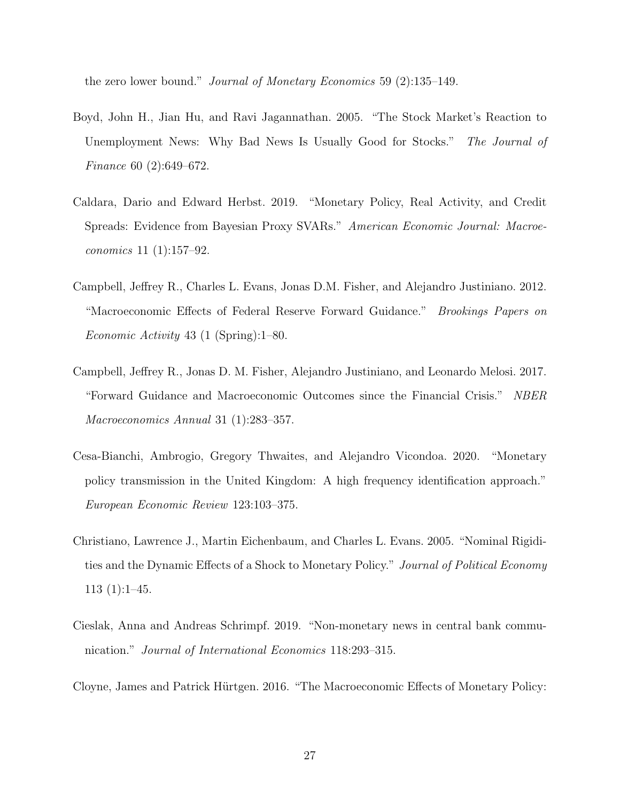the zero lower bound." Journal of Monetary Economics 59 (2):135–149.

- <span id="page-27-6"></span>Boyd, John H., Jian Hu, and Ravi Jagannathan. 2005. "The Stock Market's Reaction to Unemployment News: Why Bad News Is Usually Good for Stocks." The Journal of Finance 60 (2):649–672.
- <span id="page-27-5"></span>Caldara, Dario and Edward Herbst. 2019. "Monetary Policy, Real Activity, and Credit Spreads: Evidence from Bayesian Proxy SVARs." American Economic Journal: Macroeconomics 11 (1):157–92.
- <span id="page-27-3"></span>Campbell, Jeffrey R., Charles L. Evans, Jonas D.M. Fisher, and Alejandro Justiniano. 2012. "Macroeconomic Effects of Federal Reserve Forward Guidance." Brookings Papers on Economic Activity 43 (1 (Spring):1–80.
- <span id="page-27-4"></span>Campbell, Jeffrey R., Jonas D. M. Fisher, Alejandro Justiniano, and Leonardo Melosi. 2017. "Forward Guidance and Macroeconomic Outcomes since the Financial Crisis." NBER Macroeconomics Annual 31 (1):283–357.
- <span id="page-27-2"></span>Cesa-Bianchi, Ambrogio, Gregory Thwaites, and Alejandro Vicondoa. 2020. "Monetary policy transmission in the United Kingdom: A high frequency identification approach." European Economic Review 123:103–375.
- <span id="page-27-0"></span>Christiano, Lawrence J., Martin Eichenbaum, and Charles L. Evans. 2005. "Nominal Rigidities and the Dynamic Effects of a Shock to Monetary Policy." Journal of Political Economy 113 (1):1–45.
- <span id="page-27-7"></span>Cieslak, Anna and Andreas Schrimpf. 2019. "Non-monetary news in central bank communication." Journal of International Economics 118:293–315.
- <span id="page-27-1"></span>Cloyne, James and Patrick Hürtgen. 2016. "The Macroeconomic Effects of Monetary Policy: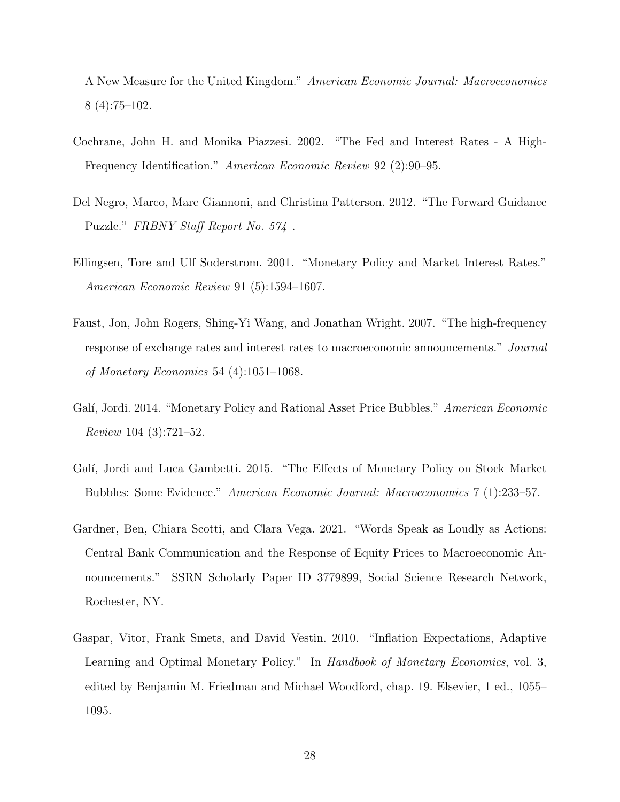A New Measure for the United Kingdom." American Economic Journal: Macroeconomics 8 (4):75–102.

- <span id="page-28-1"></span>Cochrane, John H. and Monika Piazzesi. 2002. "The Fed and Interest Rates - A High-Frequency Identification." American Economic Review 92 (2):90–95.
- <span id="page-28-0"></span>Del Negro, Marco, Marc Giannoni, and Christina Patterson. 2012. "The Forward Guidance Puzzle." FRBNY Staff Report No. 574 .
- <span id="page-28-3"></span>Ellingsen, Tore and Ulf Soderstrom. 2001. "Monetary Policy and Market Interest Rates." American Economic Review 91 (5):1594–1607.
- <span id="page-28-2"></span>Faust, Jon, John Rogers, Shing-Yi Wang, and Jonathan Wright. 2007. "The high-frequency response of exchange rates and interest rates to macroeconomic announcements." Journal of Monetary Economics 54 (4):1051–1068.
- <span id="page-28-5"></span>Galí, Jordi. 2014. "Monetary Policy and Rational Asset Price Bubbles." American Economic Review 104 (3):721–52.
- <span id="page-28-6"></span>Galí, Jordi and Luca Gambetti. 2015. "The Effects of Monetary Policy on Stock Market Bubbles: Some Evidence." American Economic Journal: Macroeconomics 7 (1):233–57.
- <span id="page-28-7"></span>Gardner, Ben, Chiara Scotti, and Clara Vega. 2021. "Words Speak as Loudly as Actions: Central Bank Communication and the Response of Equity Prices to Macroeconomic Announcements." SSRN Scholarly Paper ID 3779899, Social Science Research Network, Rochester, NY.
- <span id="page-28-4"></span>Gaspar, Vitor, Frank Smets, and David Vestin. 2010. "Inflation Expectations, Adaptive Learning and Optimal Monetary Policy." In Handbook of Monetary Economics, vol. 3, edited by Benjamin M. Friedman and Michael Woodford, chap. 19. Elsevier, 1 ed., 1055– 1095.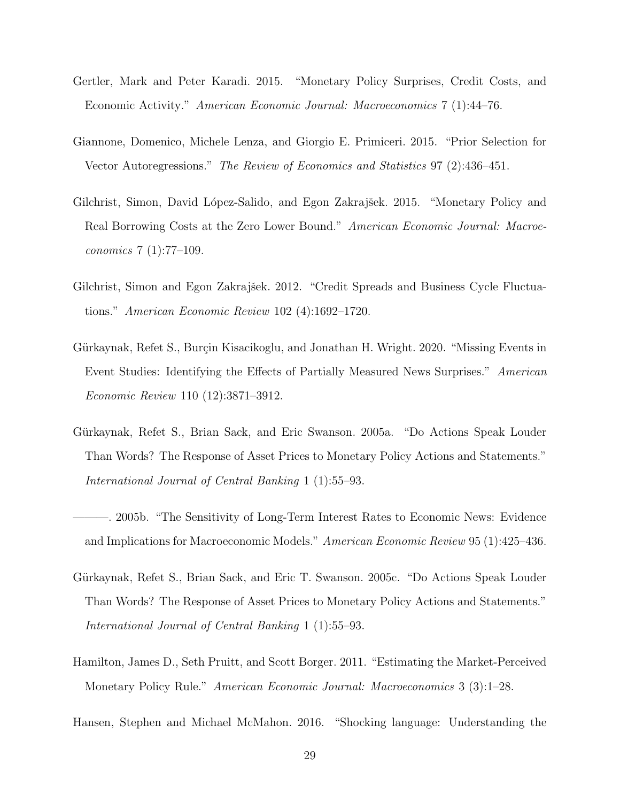- <span id="page-29-2"></span>Gertler, Mark and Peter Karadi. 2015. "Monetary Policy Surprises, Credit Costs, and Economic Activity." American Economic Journal: Macroeconomics 7 (1):44–76.
- <span id="page-29-9"></span>Giannone, Domenico, Michele Lenza, and Giorgio E. Primiceri. 2015. "Prior Selection for Vector Autoregressions." The Review of Economics and Statistics 97 (2):436–451.
- <span id="page-29-4"></span>Gilchrist, Simon, David López-Salido, and Egon Zakrajšek. 2015. "Monetary Policy and Real Borrowing Costs at the Zero Lower Bound." American Economic Journal: Macroeconomics 7 (1):77–109.
- <span id="page-29-8"></span>Gilchrist, Simon and Egon Zakrajšek. 2012. "Credit Spreads and Business Cycle Fluctuations." American Economic Review 102 (4):1692–1720.
- <span id="page-29-6"></span>Gürkaynak, Refet S., Burçin Kisacikoglu, and Jonathan H. Wright. 2020. "Missing Events in Event Studies: Identifying the Effects of Partially Measured News Surprises." American Economic Review 110 (12):3871–3912.
- <span id="page-29-5"></span>Gürkaynak, Refet S., Brian Sack, and Eric Swanson. 2005a. "Do Actions Speak Louder Than Words? The Response of Asset Prices to Monetary Policy Actions and Statements." International Journal of Central Banking 1 (1):55–93.
- <span id="page-29-1"></span>———. 2005b. "The Sensitivity of Long-Term Interest Rates to Economic News: Evidence and Implications for Macroeconomic Models." American Economic Review 95 (1):425–436.
- <span id="page-29-0"></span>Gürkaynak, Refet S., Brian Sack, and Eric T. Swanson. 2005c. "Do Actions Speak Louder Than Words? The Response of Asset Prices to Monetary Policy Actions and Statements." International Journal of Central Banking 1 (1):55–93.
- <span id="page-29-3"></span>Hamilton, James D., Seth Pruitt, and Scott Borger. 2011. "Estimating the Market-Perceived Monetary Policy Rule." American Economic Journal: Macroeconomics 3 (3):1–28.
- <span id="page-29-7"></span>Hansen, Stephen and Michael McMahon. 2016. "Shocking language: Understanding the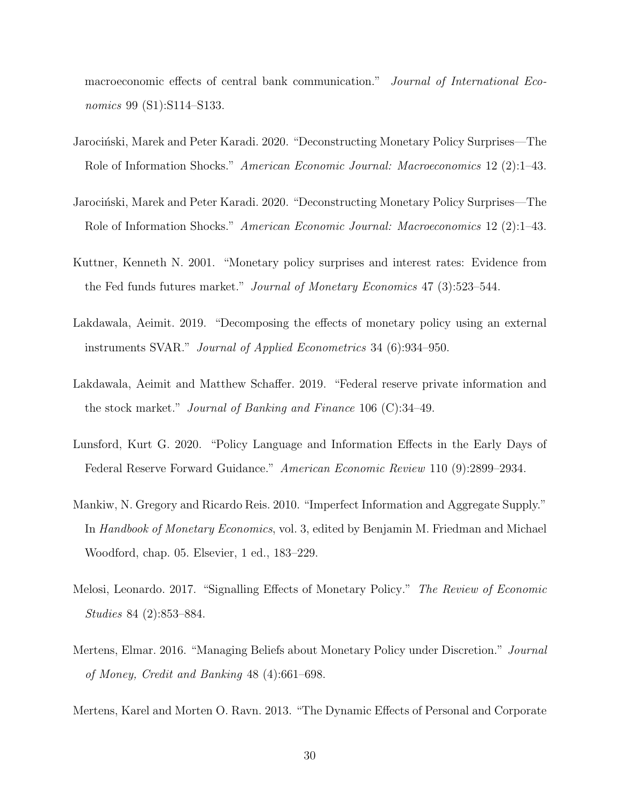macroeconomic effects of central bank communication." Journal of International Economics 99 (S1):S114–S133.

- <span id="page-30-4"></span>Jarociński, Marek and Peter Karadi. 2020. "Deconstructing Monetary Policy Surprises—The Role of Information Shocks." American Economic Journal: Macroeconomics 12 (2):1–43.
- <span id="page-30-9"></span>Jarociński, Marek and Peter Karadi. 2020. "Deconstructing Monetary Policy Surprises—The Role of Information Shocks." American Economic Journal: Macroeconomics 12 (2):1–43.
- <span id="page-30-0"></span>Kuttner, Kenneth N. 2001. "Monetary policy surprises and interest rates: Evidence from the Fed funds futures market." Journal of Monetary Economics 47 (3):523–544.
- <span id="page-30-7"></span>Lakdawala, Aeimit. 2019. "Decomposing the effects of monetary policy using an external instruments SVAR." Journal of Applied Econometrics 34 (6):934–950.
- <span id="page-30-8"></span>Lakdawala, Aeimit and Matthew Schaffer. 2019. "Federal reserve private information and the stock market." Journal of Banking and Finance 106 (C):34–49.
- <span id="page-30-5"></span>Lunsford, Kurt G. 2020. "Policy Language and Information Effects in the Early Days of Federal Reserve Forward Guidance." American Economic Review 110 (9):2899–2934.
- <span id="page-30-6"></span>Mankiw, N. Gregory and Ricardo Reis. 2010. "Imperfect Information and Aggregate Supply." In Handbook of Monetary Economics, vol. 3, edited by Benjamin M. Friedman and Michael Woodford, chap. 05. Elsevier, 1 ed., 183–229.
- <span id="page-30-3"></span>Melosi, Leonardo. 2017. "Signalling Effects of Monetary Policy." The Review of Economic Studies 84 (2):853–884.
- <span id="page-30-2"></span>Mertens, Elmar. 2016. "Managing Beliefs about Monetary Policy under Discretion." Journal of Money, Credit and Banking 48 (4):661–698.

<span id="page-30-1"></span>Mertens, Karel and Morten O. Ravn. 2013. "The Dynamic Effects of Personal and Corporate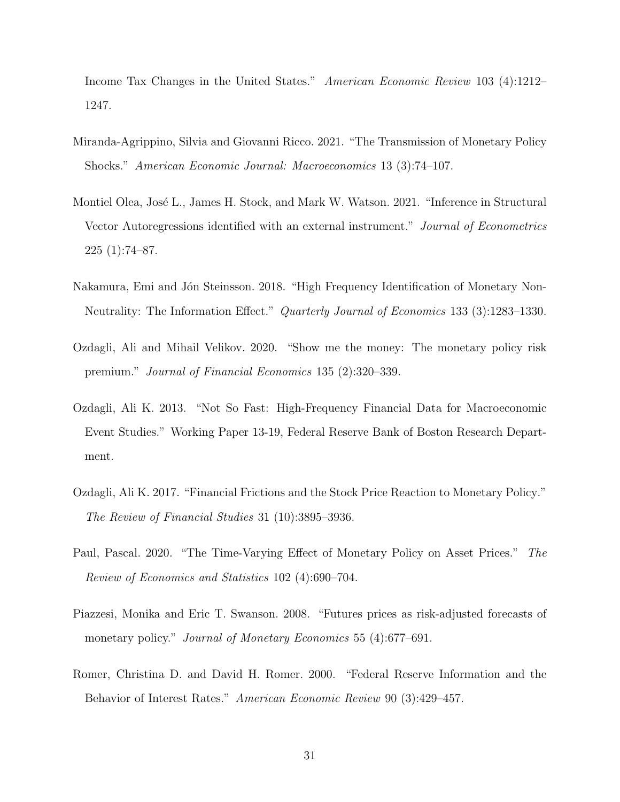Income Tax Changes in the United States." American Economic Review 103 (4):1212– 1247.

- <span id="page-31-5"></span>Miranda-Agrippino, Silvia and Giovanni Ricco. 2021. "The Transmission of Monetary Policy Shocks." American Economic Journal: Macroeconomics 13 (3):74–107.
- <span id="page-31-1"></span>Montiel Olea, José L., James H. Stock, and Mark W. Watson. 2021. "Inference in Structural Vector Autoregressions identified with an external instrument." Journal of Econometrics 225 (1):74–87.
- <span id="page-31-2"></span>Nakamura, Emi and Jón Steinsson. 2018. "High Frequency Identification of Monetary Non-Neutrality: The Information Effect." Quarterly Journal of Economics 133 (3):1283–1330.
- <span id="page-31-7"></span>Ozdagli, Ali and Mihail Velikov. 2020. "Show me the money: The monetary policy risk premium." Journal of Financial Economics 135 (2):320–339.
- <span id="page-31-8"></span>Ozdagli, Ali K. 2013. "Not So Fast: High-Frequency Financial Data for Macroeconomic Event Studies." Working Paper 13-19, Federal Reserve Bank of Boston Research Department.
- <span id="page-31-4"></span>Ozdagli, Ali K. 2017. "Financial Frictions and the Stock Price Reaction to Monetary Policy." The Review of Financial Studies 31 (10):3895–3936.
- <span id="page-31-3"></span>Paul, Pascal. 2020. "The Time-Varying Effect of Monetary Policy on Asset Prices." The Review of Economics and Statistics 102 (4):690–704.
- <span id="page-31-6"></span>Piazzesi, Monika and Eric T. Swanson. 2008. "Futures prices as risk-adjusted forecasts of monetary policy." Journal of Monetary Economics 55 (4):677-691.
- <span id="page-31-0"></span>Romer, Christina D. and David H. Romer. 2000. "Federal Reserve Information and the Behavior of Interest Rates." American Economic Review 90 (3):429–457.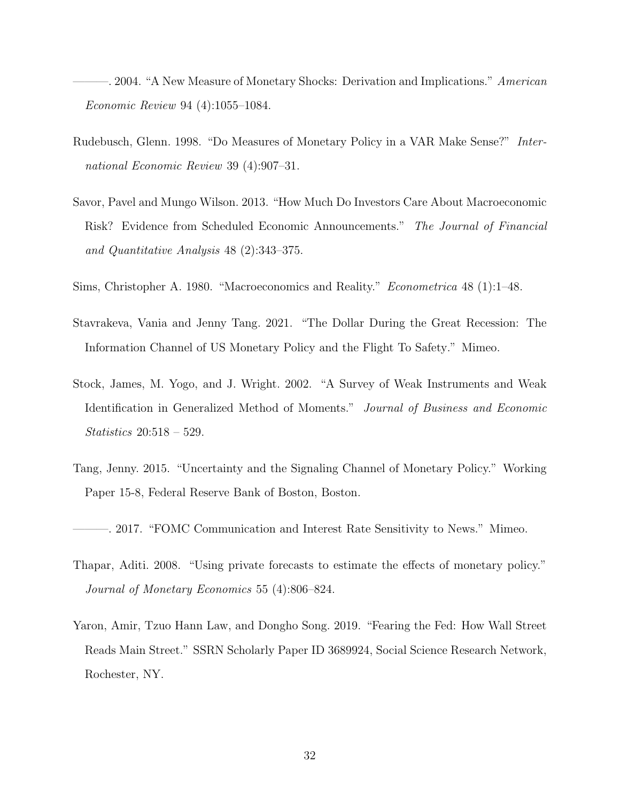<span id="page-32-1"></span>-. 2004. "A New Measure of Monetary Shocks: Derivation and Implications." American Economic Review 94 (4):1055–1084.

- <span id="page-32-2"></span>Rudebusch, Glenn. 1998. "Do Measures of Monetary Policy in a VAR Make Sense?" International Economic Review 39 (4):907–31.
- <span id="page-32-3"></span>Savor, Pavel and Mungo Wilson. 2013. "How Much Do Investors Care About Macroeconomic Risk? Evidence from Scheduled Economic Announcements." The Journal of Financial and Quantitative Analysis 48 (2):343–375.
- <span id="page-32-0"></span>Sims, Christopher A. 1980. "Macroeconomics and Reality." Econometrica 48 (1):1–48.
- <span id="page-32-6"></span>Stavrakeva, Vania and Jenny Tang. 2021. "The Dollar During the Great Recession: The Information Channel of US Monetary Policy and the Flight To Safety." Mimeo.
- <span id="page-32-9"></span>Stock, James, M. Yogo, and J. Wright. 2002. "A Survey of Weak Instruments and Weak Identification in Generalized Method of Moments." Journal of Business and Economic Statistics 20:518 – 529.
- <span id="page-32-5"></span>Tang, Jenny. 2015. "Uncertainty and the Signaling Channel of Monetary Policy." Working Paper 15-8, Federal Reserve Bank of Boston, Boston.
- <span id="page-32-4"></span>———. 2017. "FOMC Communication and Interest Rate Sensitivity to News." Mimeo.
- <span id="page-32-7"></span>Thapar, Aditi. 2008. "Using private forecasts to estimate the effects of monetary policy." Journal of Monetary Economics 55 (4):806–824.
- <span id="page-32-8"></span>Yaron, Amir, Tzuo Hann Law, and Dongho Song. 2019. "Fearing the Fed: How Wall Street Reads Main Street." SSRN Scholarly Paper ID 3689924, Social Science Research Network, Rochester, NY.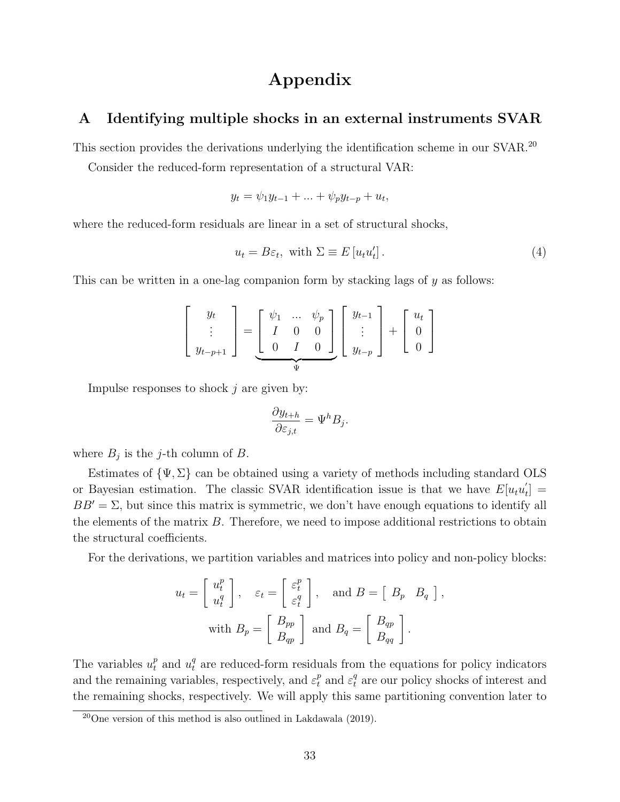## Appendix

## <span id="page-33-0"></span>A Identifying multiple shocks in an external instruments SVAR

This section provides the derivations underlying the identification scheme in our SVAR.<sup>[20](#page-33-1)</sup>

Consider the reduced-form representation of a structural VAR:

$$
y_t = \psi_1 y_{t-1} + \dots + \psi_p y_{t-p} + u_t,
$$

where the reduced-form residuals are linear in a set of structural shocks,

<span id="page-33-2"></span>
$$
u_t = B\varepsilon_t, \text{ with } \Sigma \equiv E[u_t u'_t]. \tag{4}
$$

This can be written in a one-lag companion form by stacking lags of  $y$  as follows:

$$
\left[\begin{array}{c}y_t \\ \vdots \\ y_{t-p+1}\end{array}\right] = \underbrace{\left[\begin{array}{ccc} \psi_1 & \dots & \psi_p \\ I & 0 & 0 \\ 0 & I & 0\end{array}\right]}_{\Psi}\left[\begin{array}{c}y_{t-1} \\ \vdots \\ y_{t-p}\end{array}\right] + \left[\begin{array}{c}u_t \\ 0 \\ 0\end{array}\right]
$$

Impulse responses to shock  $j$  are given by:

$$
\frac{\partial y_{t+h}}{\partial \varepsilon_{j,t}} = \Psi^h B_j.
$$

where  $B_j$  is the j-th column of B.

Estimates of  $\{\Psi, \Sigma\}$  can be obtained using a variety of methods including standard OLS or Bayesian estimation. The classic SVAR identification issue is that we have  $E[u_t u_t]$  $\left[\begin{smallmatrix} t\ \ \ \end{smallmatrix}\right] =$  $BB' = \Sigma$ , but since this matrix is symmetric, we don't have enough equations to identify all the elements of the matrix  $B$ . Therefore, we need to impose additional restrictions to obtain the structural coefficients.

For the derivations, we partition variables and matrices into policy and non-policy blocks:

$$
u_t = \begin{bmatrix} u_t^p \\ u_t^q \end{bmatrix}, \quad \varepsilon_t = \begin{bmatrix} \varepsilon_t^p \\ \varepsilon_t^q \end{bmatrix}, \quad \text{and } B = \begin{bmatrix} B_p & B_q \end{bmatrix},
$$
  
with  $B_p = \begin{bmatrix} B_{pp} \\ B_{qp} \end{bmatrix}$  and  $B_q = \begin{bmatrix} B_{qp} \\ B_{qq} \end{bmatrix}$ .

The variables  $u_t^p$  and  $u_t^q$  are reduced-form residuals from the equations for policy indicators and the remaining variables, respectively, and  $\varepsilon_t^p$  and  $\varepsilon_t^q$  are our policy shocks of interest and the remaining shocks, respectively. We will apply this same partitioning convention later to

<span id="page-33-1"></span> $^{20}$ One version of this method is also outlined in [Lakdawala](#page-30-7) [\(2019\)](#page-30-7).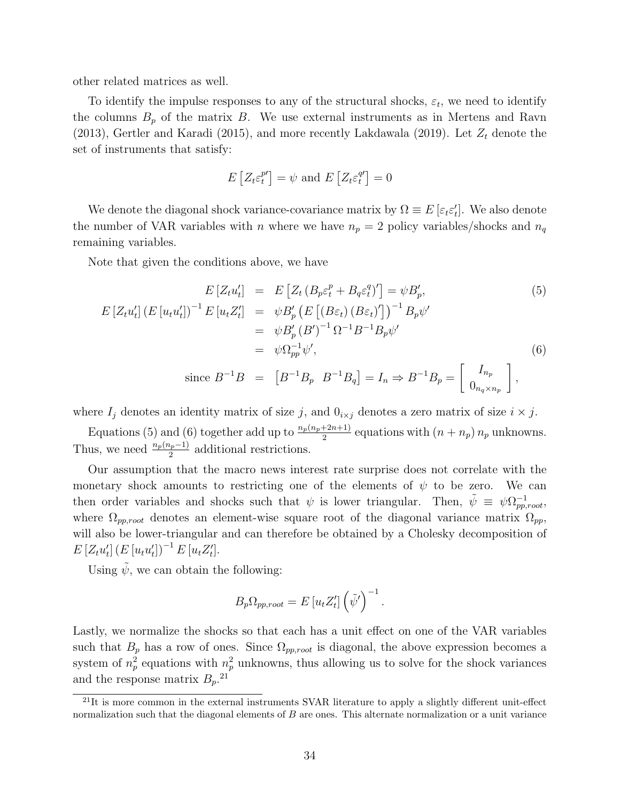other related matrices as well.

To identify the impulse responses to any of the structural shocks,  $\varepsilon_t$ , we need to identify the columns  $B_p$  of the matrix B. We use external instruments as in [Mertens and Ravn](#page-30-1) [\(2013\)](#page-30-1), [Gertler and Karadi](#page-29-2) [\(2015\)](#page-29-2), and more recently [Lakdawala](#page-30-7) [\(2019\)](#page-30-7). Let  $Z_t$  denote the set of instruments that satisfy:

$$
E\left[Z_t \varepsilon_t^{p\prime}\right] = \psi \text{ and } E\left[Z_t \varepsilon_t^{q\prime}\right] = 0
$$

We denote the diagonal shock variance-covariance matrix by  $\Omega \equiv E[\varepsilon_t \varepsilon'_t]$ . We also denote the number of VAR variables with n where we have  $n_p = 2$  policy variables/shocks and  $n_q$ remaining variables.

Note that given the conditions above, we have

<span id="page-34-0"></span>
$$
E\left[Z_t u_t'\right] = E\left[Z_t \left(B_p \varepsilon_t^p + B_q \varepsilon_t^q\right)'\right] = \psi B_p',\tag{5}
$$
\n
$$
E\left[Z_t u_t'\right] \left(E\left[u_t u_t'\right]\right)^{-1} E\left[u_t Z_t'\right] = \psi B_p' \left(E\left[\left(B\varepsilon_t\right) \left(B\varepsilon_t\right)'\right]\right)^{-1} B_p \psi'
$$
\n
$$
= \psi B_p' \left(B'\right)^{-1} \Omega^{-1} B^{-1} B_p \psi'
$$
\n
$$
= \psi \Omega_{pp}^{-1} \psi',\tag{6}
$$
\n
$$
\text{since } B^{-1}B = \left[B^{-1} B_p \ B^{-1} B_q\right] = I_n \Rightarrow B^{-1} B_p = \left[\begin{array}{c} I_{n_p} \\ 0_{n_q \times n_p} \end{array}\right],
$$

where  $I_j$  denotes an identity matrix of size j, and  $0_{i \times j}$  denotes a zero matrix of size  $i \times j$ .

Equations [\(5\)](#page-34-0) and [\(6\)](#page-34-0) together add up to  $\frac{n_p(n_p+2n+1)}{2}$  equations with  $(n + n_p) n_p$  unknowns. Thus, we need  $\frac{n_p(n_p-1)}{2}$  additional restrictions.

Our assumption that the macro news interest rate surprise does not correlate with the monetary shock amounts to restricting one of the elements of  $\psi$  to be zero. We can then order variables and shocks such that  $\psi$  is lower triangular. Then,  $\tilde{\psi} \equiv \psi \Omega_{pp,root}^{-1}$ , where  $\Omega_{pp,root}$  denotes an element-wise square root of the diagonal variance matrix  $\Omega_{pp}$ , will also be lower-triangular and can therefore be obtained by a Cholesky decomposition of  $E[Z_t u'_t] (E[u_t u'_t])^{-1} E[u_t Z'_t].$ 

Using  $\tilde{\psi}$ , we can obtain the following:

$$
B_p \Omega_{pp,root} = E[u_t Z'_t] \left(\tilde{\psi}'\right)^{-1}.
$$

Lastly, we normalize the shocks so that each has a unit effect on one of the VAR variables such that  $B_p$  has a row of ones. Since  $\Omega_{pp,root}$  is diagonal, the above expression becomes a system of  $n_p^2$  equations with  $n_p^2$  unknowns, thus allowing us to solve for the shock variances and the response matrix  $B_p$ <sup>[21](#page-34-1)</sup>

<span id="page-34-1"></span> $21$ It is more common in the external instruments SVAR literature to apply a slightly different unit-effect normalization such that the diagonal elements of  $B$  are ones. This alternate normalization or a unit variance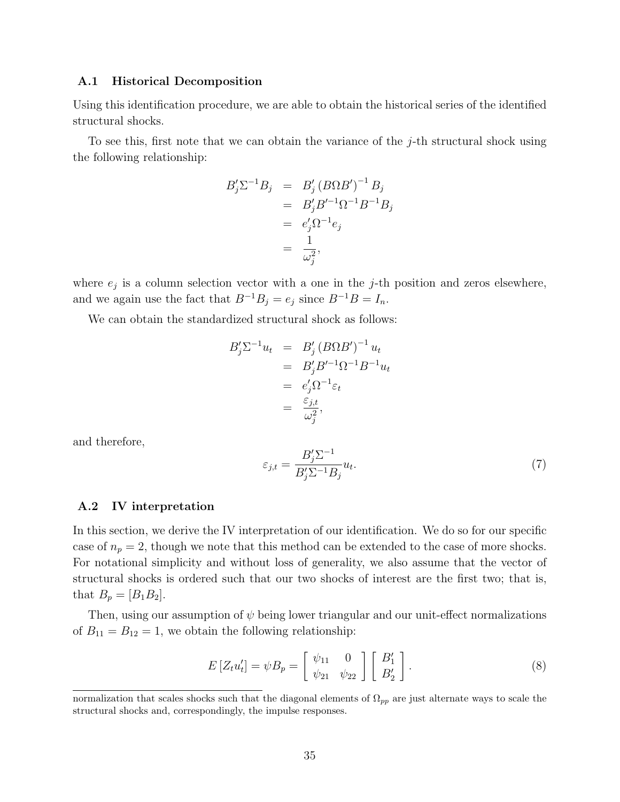#### A.1 Historical Decomposition

Using this identification procedure, we are able to obtain the historical series of the identified structural shocks.

To see this, first note that we can obtain the variance of the j-th structural shock using the following relationship:

$$
B'_j \Sigma^{-1} B_j = B'_j (B \Omega B')^{-1} B_j
$$
  
=  $B'_j B'^{-1} \Omega^{-1} B^{-1} B_j$   
=  $e'_j \Omega^{-1} e_j$   
=  $\frac{1}{\omega_j^2}$ ,

where  $e_j$  is a column selection vector with a one in the j-th position and zeros elsewhere, and we again use the fact that  $B^{-1}B_j = e_j$  since  $B^{-1}B = I_n$ .

We can obtain the standardized structural shock as follows:

$$
B'_j \Sigma^{-1} u_t = B'_j (B \Omega B')^{-1} u_t
$$
  
=  $B'_j B'^{-1} \Omega^{-1} B^{-1} u_t$   
=  $e'_j \Omega^{-1} \varepsilon_t$   
=  $\frac{\varepsilon_{j,t}}{\omega_j^2}$ ,

and therefore,

<span id="page-35-1"></span>
$$
\varepsilon_{j,t} = \frac{B_j' \Sigma^{-1}}{B_j' \Sigma^{-1} B_j} u_t.
$$
\n(7)

#### A.2 IV interpretation

In this section, we derive the IV interpretation of our identification. We do so for our specific case of  $n_p = 2$ , though we note that this method can be extended to the case of more shocks. For notational simplicity and without loss of generality, we also assume that the vector of structural shocks is ordered such that our two shocks of interest are the first two; that is, that  $B_p = [B_1 B_2]$ .

Then, using our assumption of  $\psi$  being lower triangular and our unit-effect normalizations of  $B_{11} = B_{12} = 1$ , we obtain the following relationship:

<span id="page-35-0"></span>
$$
E\left[Z_t u_t'\right] = \psi B_p = \left[\begin{array}{cc} \psi_{11} & 0\\ \psi_{21} & \psi_{22} \end{array}\right] \left[\begin{array}{c} B_1'\\ B_2' \end{array}\right].\tag{8}
$$

normalization that scales shocks such that the diagonal elements of  $\Omega_{pp}$  are just alternate ways to scale the structural shocks and, correspondingly, the impulse responses.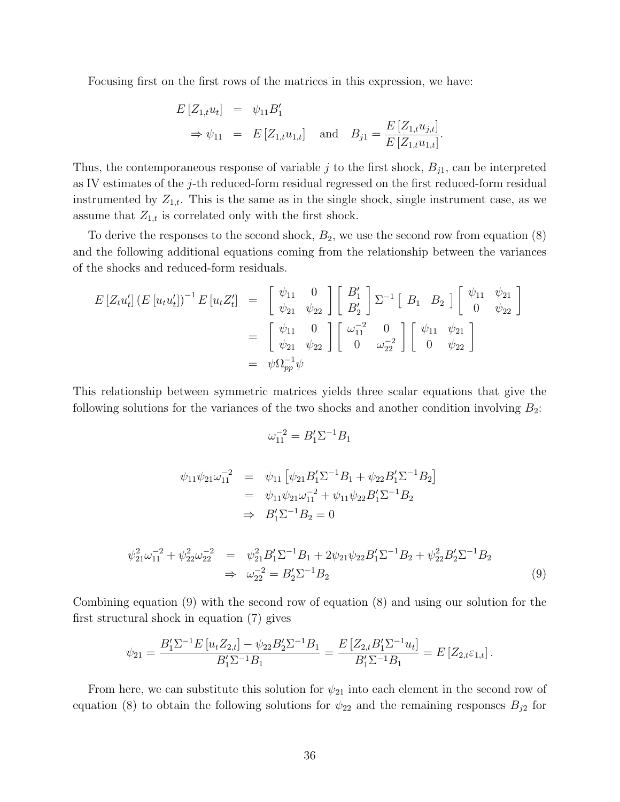Focusing first on the first rows of the matrices in this expression, we have:

$$
E[Z_{1,t}u_t] = \psi_{11}B'_1
$$
  
\n
$$
\Rightarrow \psi_{11} = E[Z_{1,t}u_{1,t}] \text{ and } B_{j1} = \frac{E[Z_{1,t}u_{j,t}]}{E[Z_{1,t}u_{1,t}]}.
$$

Thus, the contemporaneous response of variable j to the first shock,  $B_{j1}$ , can be interpreted as IV estimates of the j-th reduced-form residual regressed on the first reduced-form residual instrumented by  $Z_{1,t}$ . This is the same as in the single shock, single instrument case, as we assume that  $Z_{1,t}$  is correlated only with the first shock.

To derive the responses to the second shock,  $B_2$ , we use the second row from equation  $(8)$ and the following additional equations coming from the relationship between the variances of the shocks and reduced-form residuals.

$$
E\left[Z_t u_t'\right] \left(E\left[u_t u_t'\right]\right)^{-1} E\left[u_t Z_t'\right] = \begin{bmatrix} \psi_{11} & 0 \\ \psi_{21} & \psi_{22} \end{bmatrix} \begin{bmatrix} B_1' \\ B_2' \end{bmatrix} \Sigma^{-1} \begin{bmatrix} B_1 & B_2 \end{bmatrix} \begin{bmatrix} \psi_{11} & \psi_{21} \\ 0 & \psi_{22} \end{bmatrix}
$$
  

$$
= \begin{bmatrix} \psi_{11} & 0 \\ \psi_{21} & \psi_{22} \end{bmatrix} \begin{bmatrix} \omega_{11}^{-2} & 0 \\ 0 & \omega_{22}^{-2} \end{bmatrix} \begin{bmatrix} \psi_{11} & \psi_{21} \\ 0 & \psi_{22} \end{bmatrix}
$$
  

$$
= \psi \Omega_{pp}^{-1} \psi
$$

This relationship between symmetric matrices yields three scalar equations that give the following solutions for the variances of the two shocks and another condition involving  $B_2$ :

$$
\omega_{11}^{-2} = B_1' \Sigma^{-1} B_1
$$

$$
\psi_{11}\psi_{21}\omega_{11}^{-2} = \psi_{11} [\psi_{21}B_1'\Sigma^{-1}B_1 + \psi_{22}B_1'\Sigma^{-1}B_2]
$$
  
=  $\psi_{11}\psi_{21}\omega_{11}^{-2} + \psi_{11}\psi_{22}B_1'\Sigma^{-1}B_2$   
 $\Rightarrow B_1'\Sigma^{-1}B_2 = 0$ 

<span id="page-36-0"></span>
$$
\psi_{21}^2 \omega_{11}^{-2} + \psi_{22}^2 \omega_{22}^{-2} = \psi_{21}^2 B_1' \Sigma^{-1} B_1 + 2 \psi_{21} \psi_{22} B_1' \Sigma^{-1} B_2 + \psi_{22}^2 B_2' \Sigma^{-1} B_2
$$
  
\n
$$
\Rightarrow \omega_{22}^{-2} = B_2' \Sigma^{-1} B_2
$$
\n(9)

Combining equation [\(9\)](#page-36-0) with the second row of equation [\(8\)](#page-35-0) and using our solution for the first structural shock in equation [\(7\)](#page-35-1) gives

$$
\psi_{21} = \frac{B_1' \Sigma^{-1} E \left[ u_t Z_{2,t} \right] - \psi_{22} B_2' \Sigma^{-1} B_1}{B_1' \Sigma^{-1} B_1} = \frac{E \left[ Z_{2,t} B_1' \Sigma^{-1} u_t \right]}{B_1' \Sigma^{-1} B_1} = E \left[ Z_{2,t} \varepsilon_{1,t} \right].
$$

From here, we can substitute this solution for  $\psi_{21}$  into each element in the second row of equation [\(8\)](#page-35-0) to obtain the following solutions for  $\psi_{22}$  and the remaining responses  $B_{j2}$  for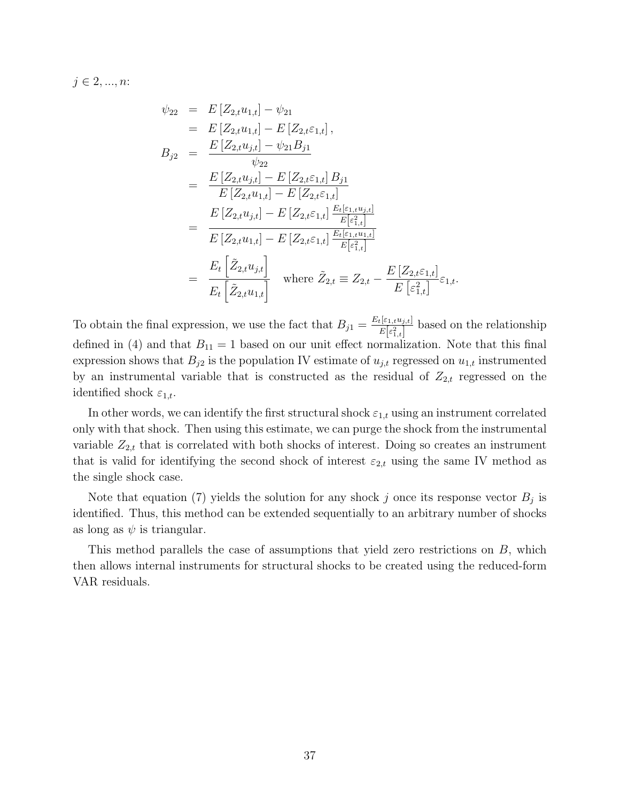$j \in 2, ..., n$ :

$$
\psi_{22} = E[Z_{2,t}u_{1,t}] - \psi_{21}
$$
\n
$$
= E[Z_{2,t}u_{1,t}] - E[Z_{2,t}\varepsilon_{1,t}],
$$
\n
$$
B_{j2} = \frac{E[Z_{2,t}u_{j,t}] - \psi_{21}B_{j1}}{\psi_{22}}
$$
\n
$$
= \frac{E[Z_{2,t}u_{j,t}] - E[Z_{2,t}\varepsilon_{1,t}]B_{j1}}{E[Z_{2,t}u_{1,t}] - E[Z_{2,t}\varepsilon_{1,t}]}
$$
\n
$$
= \frac{E[Z_{2,t}u_{j,t}] - E[Z_{2,t}\varepsilon_{1,t}] \frac{E_{t}[\varepsilon_{1,t}u_{j,t}]}{E[\varepsilon_{1,t}^{2}]}}{E[Z_{2,t}u_{1,t}] - E[Z_{2,t}\varepsilon_{1,t}] \frac{E_{t}[\varepsilon_{1,t}u_{1,t}]}{E[\varepsilon_{1,t}^{2}]}}
$$
\n
$$
= \frac{E_{t}[\tilde{Z}_{2,t}u_{j,t}]}{E_{t}[\tilde{Z}_{2,t}u_{1,t}]} \quad \text{where } \tilde{Z}_{2,t} \equiv Z_{2,t} - \frac{E[Z_{2,t}\varepsilon_{1,t}]}{E[\varepsilon_{1,t}^{2}]}\varepsilon_{1,t}.
$$

To obtain the final expression, we use the fact that  $B_{j1} = \frac{E_t[\varepsilon_{1,t}u_{j,t}]}{E[\varepsilon_{2}]}$  $\frac{E[\varepsilon_{1,t}u_{j,t}]}{E[\varepsilon_{1,t}^2]}$  based on the relationship defined in [\(4\)](#page-33-2) and that  $B_{11} = 1$  based on our unit effect normalization. Note that this final expression shows that  $B_{j2}$  is the population IV estimate of  $u_{j,t}$  regressed on  $u_{1,t}$  instrumented by an instrumental variable that is constructed as the residual of  $Z_{2,t}$  regressed on the identified shock  $\varepsilon_{1,t}$ .

In other words, we can identify the first structural shock  $\varepsilon_{1,t}$  using an instrument correlated only with that shock. Then using this estimate, we can purge the shock from the instrumental variable  $Z_{2,t}$  that is correlated with both shocks of interest. Doing so creates an instrument that is valid for identifying the second shock of interest  $\varepsilon_{2,t}$  using the same IV method as the single shock case.

Note that equation [\(7\)](#page-35-1) yields the solution for any shock j once its response vector  $B_j$  is identified. Thus, this method can be extended sequentially to an arbitrary number of shocks as long as  $\psi$  is triangular.

This method parallels the case of assumptions that yield zero restrictions on B, which then allows internal instruments for structural shocks to be created using the reduced-form VAR residuals.